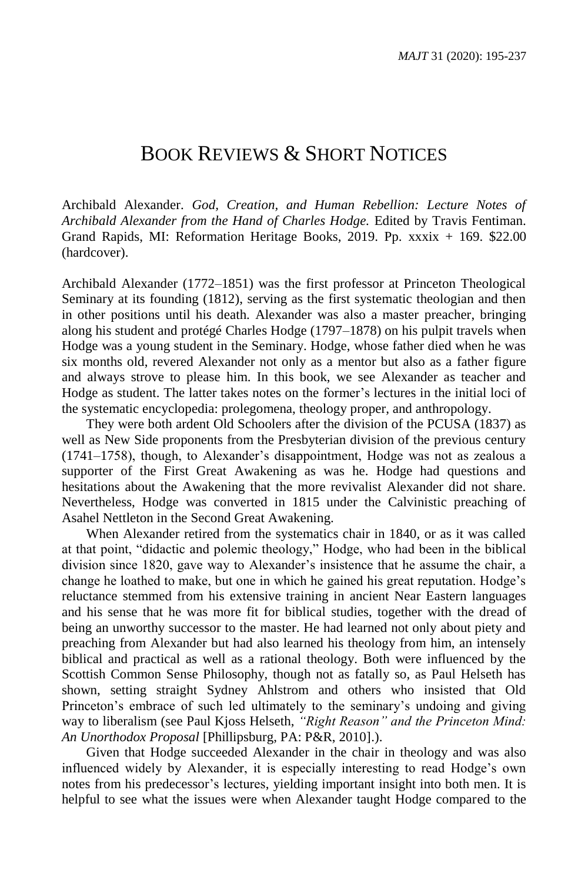## BOOK REVIEWS & SHORT NOTICES

Archibald Alexander. *God, Creation, and Human Rebellion: Lecture Notes of Archibald Alexander from the Hand of Charles Hodge.* Edited by Travis Fentiman. Grand Rapids, MI: Reformation Heritage Books, 2019. Pp. xxxix + 169. \$22.00 (hardcover).

Archibald Alexander (1772–1851) was the first professor at Princeton Theological Seminary at its founding (1812), serving as the first systematic theologian and then in other positions until his death. Alexander was also a master preacher, bringing along his student and protégé Charles Hodge (1797–1878) on his pulpit travels when Hodge was a young student in the Seminary. Hodge, whose father died when he was six months old, revered Alexander not only as a mentor but also as a father figure and always strove to please him. In this book, we see Alexander as teacher and Hodge as student. The latter takes notes on the former's lectures in the initial loci of the systematic encyclopedia: prolegomena, theology proper, and anthropology.

They were both ardent Old Schoolers after the division of the PCUSA (1837) as well as New Side proponents from the Presbyterian division of the previous century (1741–1758), though, to Alexander's disappointment, Hodge was not as zealous a supporter of the First Great Awakening as was he. Hodge had questions and hesitations about the Awakening that the more revivalist Alexander did not share. Nevertheless, Hodge was converted in 1815 under the Calvinistic preaching of Asahel Nettleton in the Second Great Awakening.

When Alexander retired from the systematics chair in 1840, or as it was called at that point, "didactic and polemic theology," Hodge, who had been in the biblical division since 1820, gave way to Alexander's insistence that he assume the chair, a change he loathed to make, but one in which he gained his great reputation. Hodge's reluctance stemmed from his extensive training in ancient Near Eastern languages and his sense that he was more fit for biblical studies, together with the dread of being an unworthy successor to the master. He had learned not only about piety and preaching from Alexander but had also learned his theology from him, an intensely biblical and practical as well as a rational theology. Both were influenced by the Scottish Common Sense Philosophy, though not as fatally so, as Paul Helseth has shown, setting straight Sydney Ahlstrom and others who insisted that Old Princeton's embrace of such led ultimately to the seminary's undoing and giving way to liberalism (see Paul Kjoss Helseth, *"Right Reason" and the Princeton Mind: An Unorthodox Proposal* [Phillipsburg, PA: P&R, 2010].).

Given that Hodge succeeded Alexander in the chair in theology and was also influenced widely by Alexander, it is especially interesting to read Hodge's own notes from his predecessor's lectures, yielding important insight into both men. It is helpful to see what the issues were when Alexander taught Hodge compared to the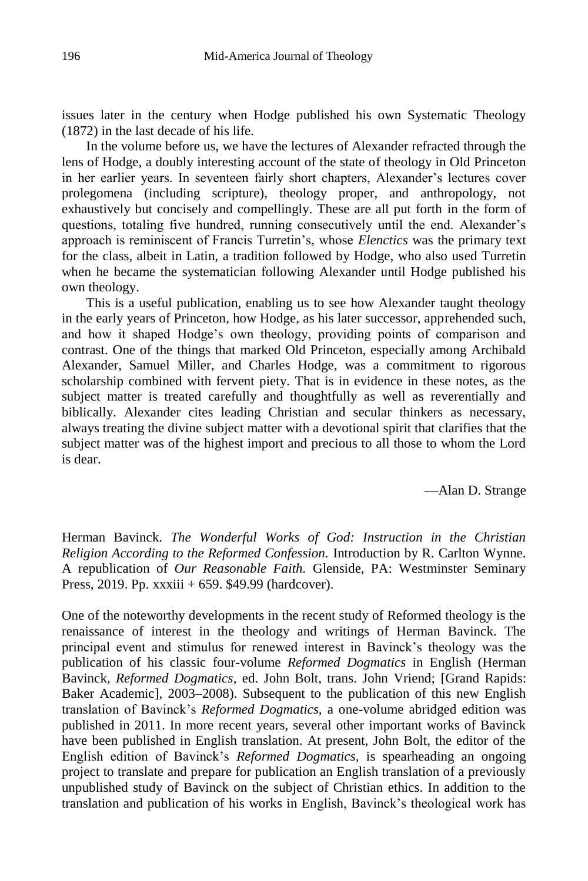issues later in the century when Hodge published his own Systematic Theology (1872) in the last decade of his life.

In the volume before us, we have the lectures of Alexander refracted through the lens of Hodge, a doubly interesting account of the state of theology in Old Princeton in her earlier years. In seventeen fairly short chapters, Alexander's lectures cover prolegomena (including scripture), theology proper, and anthropology, not exhaustively but concisely and compellingly. These are all put forth in the form of questions, totaling five hundred, running consecutively until the end. Alexander's approach is reminiscent of Francis Turretin's, whose *Elenctics* was the primary text for the class, albeit in Latin, a tradition followed by Hodge, who also used Turretin when he became the systematician following Alexander until Hodge published his own theology.

This is a useful publication, enabling us to see how Alexander taught theology in the early years of Princeton, how Hodge, as his later successor, apprehended such, and how it shaped Hodge's own theology, providing points of comparison and contrast. One of the things that marked Old Princeton, especially among Archibald Alexander, Samuel Miller, and Charles Hodge, was a commitment to rigorous scholarship combined with fervent piety. That is in evidence in these notes, as the subject matter is treated carefully and thoughtfully as well as reverentially and biblically. Alexander cites leading Christian and secular thinkers as necessary, always treating the divine subject matter with a devotional spirit that clarifies that the subject matter was of the highest import and precious to all those to whom the Lord is dear.

—Alan D. Strange

Herman Bavinck. *The Wonderful Works of God: Instruction in the Christian Religion According to the Reformed Confession.* Introduction by R. Carlton Wynne. A republication of *Our Reasonable Faith.* Glenside, PA: Westminster Seminary Press, 2019. Pp. xxxiii + 659. \$49.99 (hardcover).

One of the noteworthy developments in the recent study of Reformed theology is the renaissance of interest in the theology and writings of Herman Bavinck. The principal event and stimulus for renewed interest in Bavinck's theology was the publication of his classic four-volume *Reformed Dogmatics* in English (Herman Bavinck, *Reformed Dogmatics,* ed. John Bolt, trans. John Vriend; [Grand Rapids: Baker Academic], 2003–2008). Subsequent to the publication of this new English translation of Bavinck's *Reformed Dogmatics,* a one-volume abridged edition was published in 2011. In more recent years, several other important works of Bavinck have been published in English translation. At present, John Bolt, the editor of the English edition of Bavinck's *Reformed Dogmatics,* is spearheading an ongoing project to translate and prepare for publication an English translation of a previously unpublished study of Bavinck on the subject of Christian ethics. In addition to the translation and publication of his works in English, Bavinck's theological work has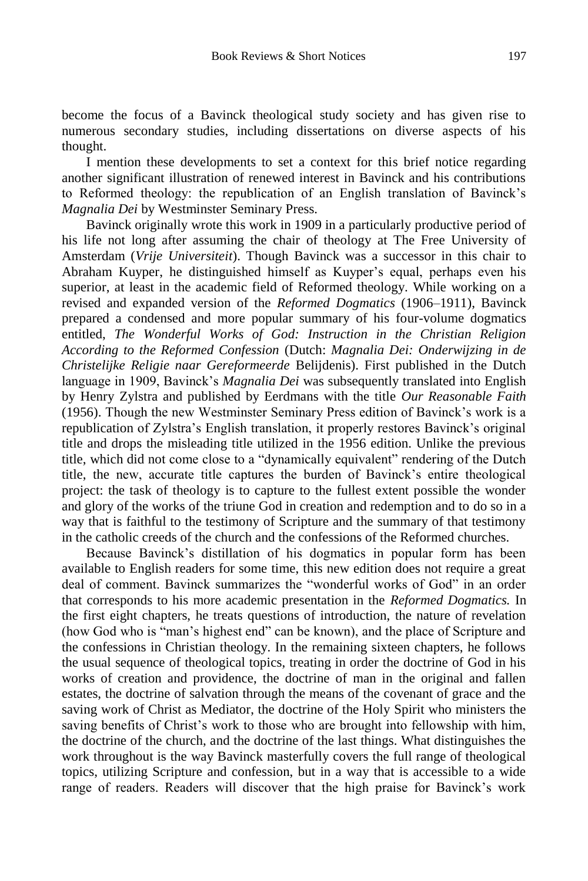become the focus of a Bavinck theological study society and has given rise to numerous secondary studies, including dissertations on diverse aspects of his thought.

I mention these developments to set a context for this brief notice regarding another significant illustration of renewed interest in Bavinck and his contributions to Reformed theology: the republication of an English translation of Bavinck's *Magnalia Dei* by Westminster Seminary Press.

Bavinck originally wrote this work in 1909 in a particularly productive period of his life not long after assuming the chair of theology at The Free University of Amsterdam (*Vrije Universiteit*). Though Bavinck was a successor in this chair to Abraham Kuyper, he distinguished himself as Kuyper's equal, perhaps even his superior, at least in the academic field of Reformed theology. While working on a revised and expanded version of the *Reformed Dogmatics* (1906–1911), Bavinck prepared a condensed and more popular summary of his four-volume dogmatics entitled, *The Wonderful Works of God: Instruction in the Christian Religion According to the Reformed Confession* (Dutch: *Magnalia Dei: Onderwijzing in de Christelijke Religie naar Gereformeerde* Belijdenis). First published in the Dutch language in 1909, Bavinck's *Magnalia Dei* was subsequently translated into English by Henry Zylstra and published by Eerdmans with the title *Our Reasonable Faith*  (1956). Though the new Westminster Seminary Press edition of Bavinck's work is a republication of Zylstra's English translation, it properly restores Bavinck's original title and drops the misleading title utilized in the 1956 edition. Unlike the previous title, which did not come close to a "dynamically equivalent" rendering of the Dutch title, the new, accurate title captures the burden of Bavinck's entire theological project: the task of theology is to capture to the fullest extent possible the wonder and glory of the works of the triune God in creation and redemption and to do so in a way that is faithful to the testimony of Scripture and the summary of that testimony in the catholic creeds of the church and the confessions of the Reformed churches.

Because Bavinck's distillation of his dogmatics in popular form has been available to English readers for some time, this new edition does not require a great deal of comment. Bavinck summarizes the "wonderful works of God" in an order that corresponds to his more academic presentation in the *Reformed Dogmatics.* In the first eight chapters, he treats questions of introduction, the nature of revelation (how God who is "man's highest end" can be known), and the place of Scripture and the confessions in Christian theology. In the remaining sixteen chapters, he follows the usual sequence of theological topics, treating in order the doctrine of God in his works of creation and providence, the doctrine of man in the original and fallen estates, the doctrine of salvation through the means of the covenant of grace and the saving work of Christ as Mediator, the doctrine of the Holy Spirit who ministers the saving benefits of Christ's work to those who are brought into fellowship with him, the doctrine of the church, and the doctrine of the last things. What distinguishes the work throughout is the way Bavinck masterfully covers the full range of theological topics, utilizing Scripture and confession, but in a way that is accessible to a wide range of readers. Readers will discover that the high praise for Bavinck's work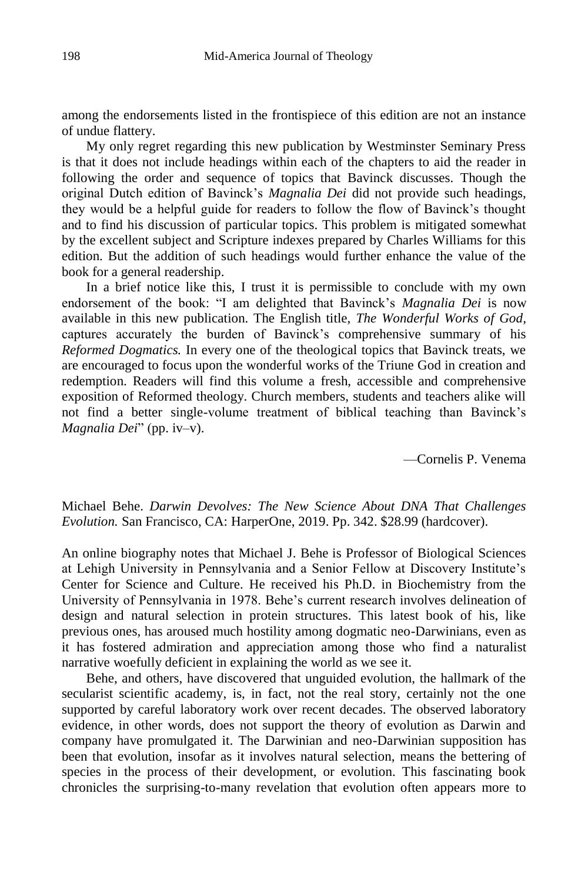among the endorsements listed in the frontispiece of this edition are not an instance of undue flattery.

My only regret regarding this new publication by Westminster Seminary Press is that it does not include headings within each of the chapters to aid the reader in following the order and sequence of topics that Bavinck discusses. Though the original Dutch edition of Bavinck's *Magnalia Dei* did not provide such headings, they would be a helpful guide for readers to follow the flow of Bavinck's thought and to find his discussion of particular topics. This problem is mitigated somewhat by the excellent subject and Scripture indexes prepared by Charles Williams for this edition. But the addition of such headings would further enhance the value of the book for a general readership.

In a brief notice like this, I trust it is permissible to conclude with my own endorsement of the book: "I am delighted that Bavinck's *Magnalia Dei* is now available in this new publication. The English title, *The Wonderful Works of God,*  captures accurately the burden of Bavinck's comprehensive summary of his *Reformed Dogmatics.* In every one of the theological topics that Bavinck treats, we are encouraged to focus upon the wonderful works of the Triune God in creation and redemption. Readers will find this volume a fresh, accessible and comprehensive exposition of Reformed theology. Church members, students and teachers alike will not find a better single-volume treatment of biblical teaching than Bavinck's *Magnalia Dei*" (pp. iv–v).

—Cornelis P. Venema

Michael Behe. *Darwin Devolves: The New Science About DNA That Challenges Evolution.* San Francisco, CA: HarperOne, 2019. Pp. 342. \$28.99 (hardcover).

An online biography notes that Michael J. Behe is Professor of Biological Sciences at Lehigh University in Pennsylvania and a Senior Fellow at Discovery Institute's Center for Science and Culture. He received his Ph.D. in Biochemistry from the University of Pennsylvania in 1978. Behe's current research involves delineation of design and natural selection in protein structures. This latest book of his, like previous ones, has aroused much hostility among dogmatic neo-Darwinians, even as it has fostered admiration and appreciation among those who find a naturalist narrative woefully deficient in explaining the world as we see it.

Behe, and others, have discovered that unguided evolution, the hallmark of the secularist scientific academy, is, in fact, not the real story, certainly not the one supported by careful laboratory work over recent decades. The observed laboratory evidence, in other words, does not support the theory of evolution as Darwin and company have promulgated it. The Darwinian and neo-Darwinian supposition has been that evolution, insofar as it involves natural selection, means the bettering of species in the process of their development, or evolution. This fascinating book chronicles the surprising-to-many revelation that evolution often appears more to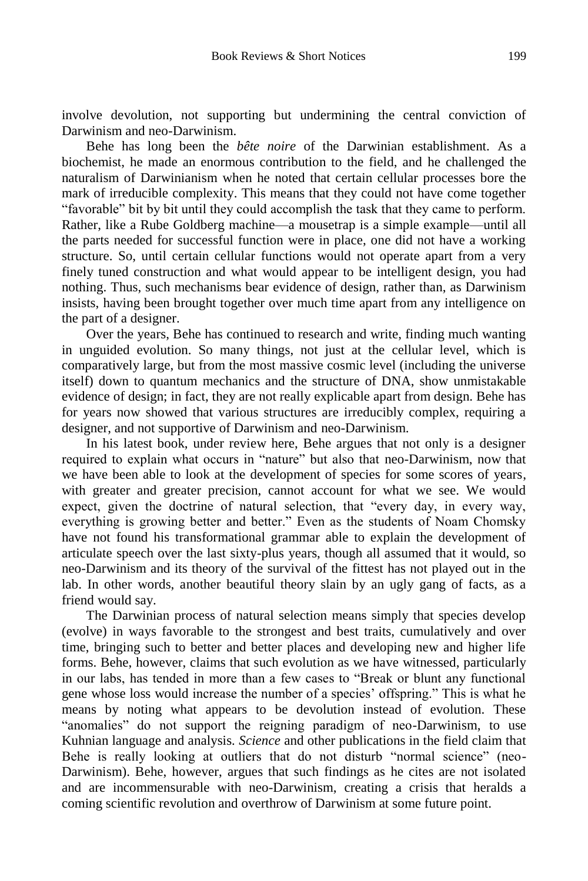involve devolution, not supporting but undermining the central conviction of Darwinism and neo-Darwinism.

Behe has long been the *bête noire* of the Darwinian establishment. As a biochemist, he made an enormous contribution to the field, and he challenged the naturalism of Darwinianism when he noted that certain cellular processes bore the mark of irreducible complexity. This means that they could not have come together "favorable" bit by bit until they could accomplish the task that they came to perform. Rather, like a Rube Goldberg machine—a mousetrap is a simple example—until all the parts needed for successful function were in place, one did not have a working structure. So, until certain cellular functions would not operate apart from a very finely tuned construction and what would appear to be intelligent design, you had nothing. Thus, such mechanisms bear evidence of design, rather than, as Darwinism insists, having been brought together over much time apart from any intelligence on the part of a designer.

Over the years, Behe has continued to research and write, finding much wanting in unguided evolution. So many things, not just at the cellular level, which is comparatively large, but from the most massive cosmic level (including the universe itself) down to quantum mechanics and the structure of DNA, show unmistakable evidence of design; in fact, they are not really explicable apart from design. Behe has for years now showed that various structures are irreducibly complex, requiring a designer, and not supportive of Darwinism and neo-Darwinism.

In his latest book, under review here, Behe argues that not only is a designer required to explain what occurs in "nature" but also that neo-Darwinism, now that we have been able to look at the development of species for some scores of years, with greater and greater precision, cannot account for what we see. We would expect, given the doctrine of natural selection, that "every day, in every way, everything is growing better and better." Even as the students of Noam Chomsky have not found his transformational grammar able to explain the development of articulate speech over the last sixty-plus years, though all assumed that it would, so neo-Darwinism and its theory of the survival of the fittest has not played out in the lab. In other words, another beautiful theory slain by an ugly gang of facts, as a friend would say.

The Darwinian process of natural selection means simply that species develop (evolve) in ways favorable to the strongest and best traits, cumulatively and over time, bringing such to better and better places and developing new and higher life forms. Behe, however, claims that such evolution as we have witnessed, particularly in our labs, has tended in more than a few cases to "Break or blunt any functional gene whose loss would increase the number of a species' offspring." This is what he means by noting what appears to be devolution instead of evolution. These "anomalies" do not support the reigning paradigm of neo-Darwinism, to use Kuhnian language and analysis*. Science* and other publications in the field claim that Behe is really looking at outliers that do not disturb "normal science" (neo-Darwinism). Behe, however, argues that such findings as he cites are not isolated and are incommensurable with neo-Darwinism, creating a crisis that heralds a coming scientific revolution and overthrow of Darwinism at some future point.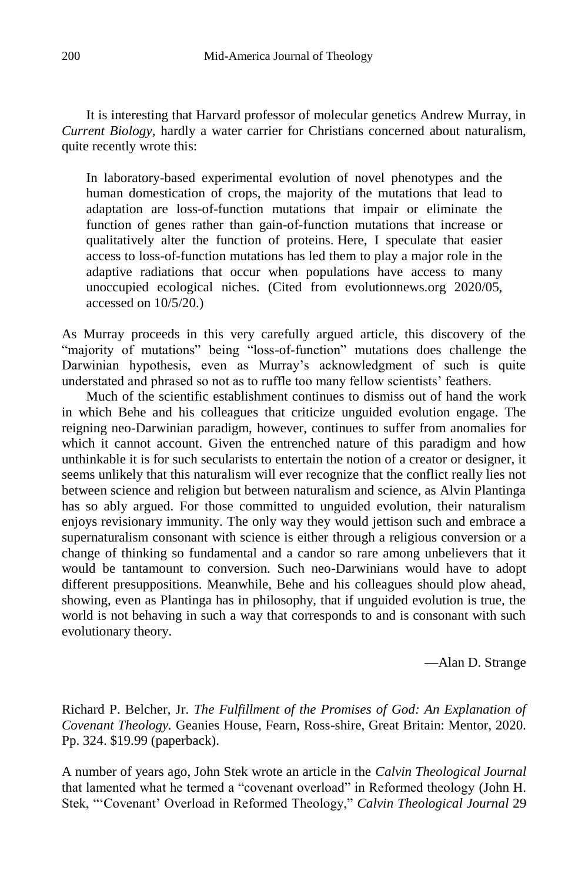It is interesting that Harvard professor of molecular genetics Andrew Murray, in *Current Biology,* hardly a water carrier for Christians concerned about naturalism, quite recently wrote this:

In laboratory-based experimental evolution of novel phenotypes and the human domestication of crops, the majority of the mutations that lead to adaptation are loss-of-function mutations that impair or eliminate the function of genes rather than gain-of-function mutations that increase or qualitatively alter the function of proteins. Here, I speculate that easier access to loss-of-function mutations has led them to play a major role in the adaptive radiations that occur when populations have access to many unoccupied ecological niches. (Cited from evolutionnews.org 2020/05, accessed on 10/5/20.)

As Murray proceeds in this very carefully argued article, this discovery of the "majority of mutations" being "loss-of-function" mutations does challenge the Darwinian hypothesis, even as Murray's acknowledgment of such is quite understated and phrased so not as to ruffle too many fellow scientists' feathers.

Much of the scientific establishment continues to dismiss out of hand the work in which Behe and his colleagues that criticize unguided evolution engage. The reigning neo-Darwinian paradigm, however, continues to suffer from anomalies for which it cannot account. Given the entrenched nature of this paradigm and how unthinkable it is for such secularists to entertain the notion of a creator or designer, it seems unlikely that this naturalism will ever recognize that the conflict really lies not between science and religion but between naturalism and science, as Alvin Plantinga has so ably argued. For those committed to unguided evolution, their naturalism enjoys revisionary immunity. The only way they would jettison such and embrace a supernaturalism consonant with science is either through a religious conversion or a change of thinking so fundamental and a candor so rare among unbelievers that it would be tantamount to conversion. Such neo-Darwinians would have to adopt different presuppositions. Meanwhile, Behe and his colleagues should plow ahead, showing, even as Plantinga has in philosophy, that if unguided evolution is true, the world is not behaving in such a way that corresponds to and is consonant with such evolutionary theory.

—Alan D. Strange

Richard P. Belcher, Jr. *The Fulfillment of the Promises of God: An Explanation of Covenant Theology.* Geanies House, Fearn, Ross-shire, Great Britain: Mentor, 2020. Pp. 324. \$19.99 (paperback).

A number of years ago, John Stek wrote an article in the *Calvin Theological Journal*  that lamented what he termed a "covenant overload" in Reformed theology (John H. Stek, "'Covenant' Overload in Reformed Theology," *Calvin Theological Journal* 29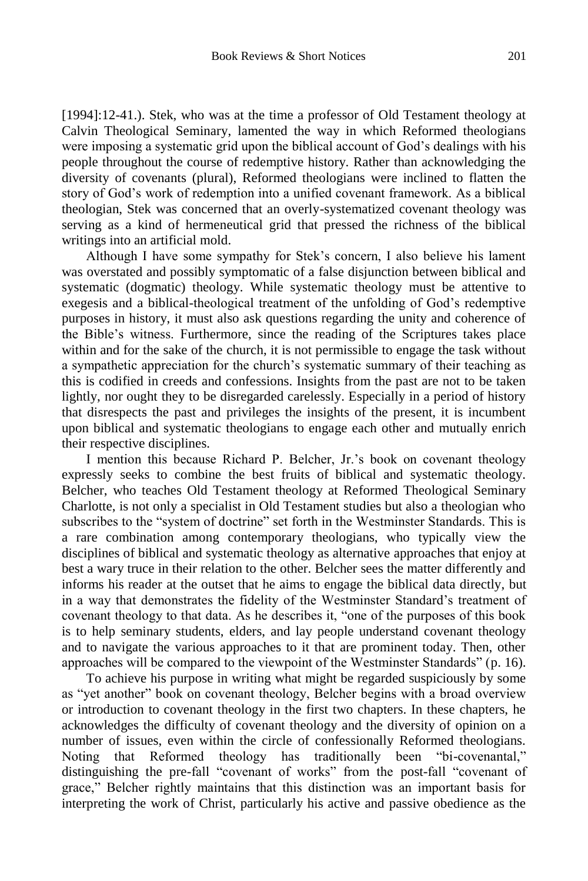[1994]:12-41.). Stek, who was at the time a professor of Old Testament theology at Calvin Theological Seminary, lamented the way in which Reformed theologians were imposing a systematic grid upon the biblical account of God's dealings with his people throughout the course of redemptive history. Rather than acknowledging the diversity of covenants (plural), Reformed theologians were inclined to flatten the story of God's work of redemption into a unified covenant framework. As a biblical theologian, Stek was concerned that an overly-systematized covenant theology was serving as a kind of hermeneutical grid that pressed the richness of the biblical writings into an artificial mold.

Although I have some sympathy for Stek's concern, I also believe his lament was overstated and possibly symptomatic of a false disjunction between biblical and systematic (dogmatic) theology. While systematic theology must be attentive to exegesis and a biblical-theological treatment of the unfolding of God's redemptive purposes in history, it must also ask questions regarding the unity and coherence of the Bible's witness. Furthermore, since the reading of the Scriptures takes place within and for the sake of the church, it is not permissible to engage the task without a sympathetic appreciation for the church's systematic summary of their teaching as this is codified in creeds and confessions. Insights from the past are not to be taken lightly, nor ought they to be disregarded carelessly. Especially in a period of history that disrespects the past and privileges the insights of the present, it is incumbent upon biblical and systematic theologians to engage each other and mutually enrich their respective disciplines.

I mention this because Richard P. Belcher, Jr.'s book on covenant theology expressly seeks to combine the best fruits of biblical and systematic theology. Belcher, who teaches Old Testament theology at Reformed Theological Seminary Charlotte, is not only a specialist in Old Testament studies but also a theologian who subscribes to the "system of doctrine" set forth in the Westminster Standards. This is a rare combination among contemporary theologians, who typically view the disciplines of biblical and systematic theology as alternative approaches that enjoy at best a wary truce in their relation to the other. Belcher sees the matter differently and informs his reader at the outset that he aims to engage the biblical data directly, but in a way that demonstrates the fidelity of the Westminster Standard's treatment of covenant theology to that data. As he describes it, "one of the purposes of this book is to help seminary students, elders, and lay people understand covenant theology and to navigate the various approaches to it that are prominent today. Then, other approaches will be compared to the viewpoint of the Westminster Standards" (p. 16).

To achieve his purpose in writing what might be regarded suspiciously by some as "yet another" book on covenant theology, Belcher begins with a broad overview or introduction to covenant theology in the first two chapters. In these chapters, he acknowledges the difficulty of covenant theology and the diversity of opinion on a number of issues, even within the circle of confessionally Reformed theologians. Noting that Reformed theology has traditionally been "bi-covenantal," distinguishing the pre-fall "covenant of works" from the post-fall "covenant of grace," Belcher rightly maintains that this distinction was an important basis for interpreting the work of Christ, particularly his active and passive obedience as the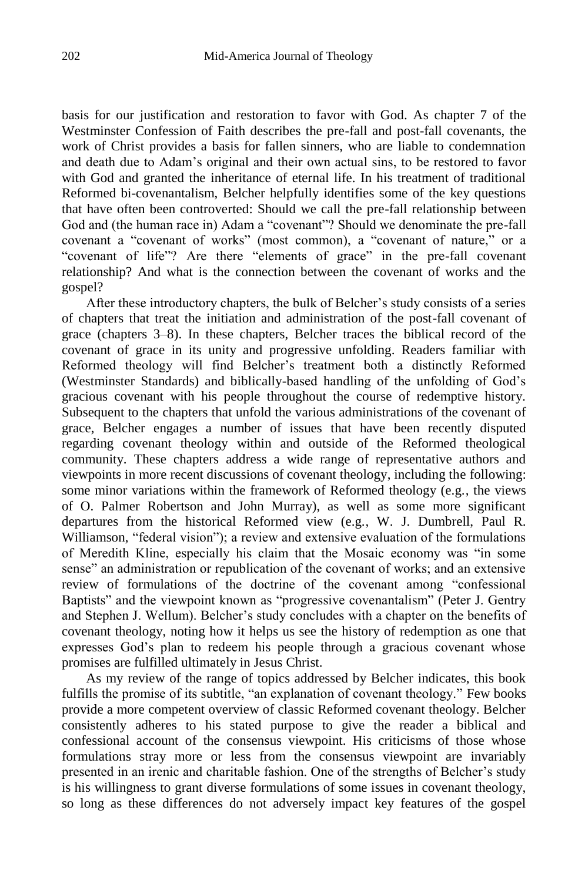basis for our justification and restoration to favor with God. As chapter 7 of the Westminster Confession of Faith describes the pre-fall and post-fall covenants, the work of Christ provides a basis for fallen sinners, who are liable to condemnation and death due to Adam's original and their own actual sins, to be restored to favor with God and granted the inheritance of eternal life. In his treatment of traditional Reformed bi-covenantalism, Belcher helpfully identifies some of the key questions that have often been controverted: Should we call the pre-fall relationship between God and (the human race in) Adam a "covenant"? Should we denominate the pre-fall covenant a "covenant of works" (most common), a "covenant of nature," or a "covenant of life"? Are there "elements of grace" in the pre-fall covenant relationship? And what is the connection between the covenant of works and the gospel?

After these introductory chapters, the bulk of Belcher's study consists of a series of chapters that treat the initiation and administration of the post-fall covenant of grace (chapters 3–8). In these chapters, Belcher traces the biblical record of the covenant of grace in its unity and progressive unfolding. Readers familiar with Reformed theology will find Belcher's treatment both a distinctly Reformed (Westminster Standards) and biblically-based handling of the unfolding of God's gracious covenant with his people throughout the course of redemptive history. Subsequent to the chapters that unfold the various administrations of the covenant of grace, Belcher engages a number of issues that have been recently disputed regarding covenant theology within and outside of the Reformed theological community. These chapters address a wide range of representative authors and viewpoints in more recent discussions of covenant theology, including the following: some minor variations within the framework of Reformed theology (e.g., the views of O. Palmer Robertson and John Murray), as well as some more significant departures from the historical Reformed view (e.g., W. J. Dumbrell, Paul R. Williamson, "federal vision"); a review and extensive evaluation of the formulations of Meredith Kline, especially his claim that the Mosaic economy was "in some sense" an administration or republication of the covenant of works; and an extensive review of formulations of the doctrine of the covenant among "confessional Baptists" and the viewpoint known as "progressive covenantalism" (Peter J. Gentry and Stephen J. Wellum). Belcher's study concludes with a chapter on the benefits of covenant theology, noting how it helps us see the history of redemption as one that expresses God's plan to redeem his people through a gracious covenant whose promises are fulfilled ultimately in Jesus Christ.

As my review of the range of topics addressed by Belcher indicates, this book fulfills the promise of its subtitle, "an explanation of covenant theology." Few books provide a more competent overview of classic Reformed covenant theology. Belcher consistently adheres to his stated purpose to give the reader a biblical and confessional account of the consensus viewpoint. His criticisms of those whose formulations stray more or less from the consensus viewpoint are invariably presented in an irenic and charitable fashion. One of the strengths of Belcher's study is his willingness to grant diverse formulations of some issues in covenant theology, so long as these differences do not adversely impact key features of the gospel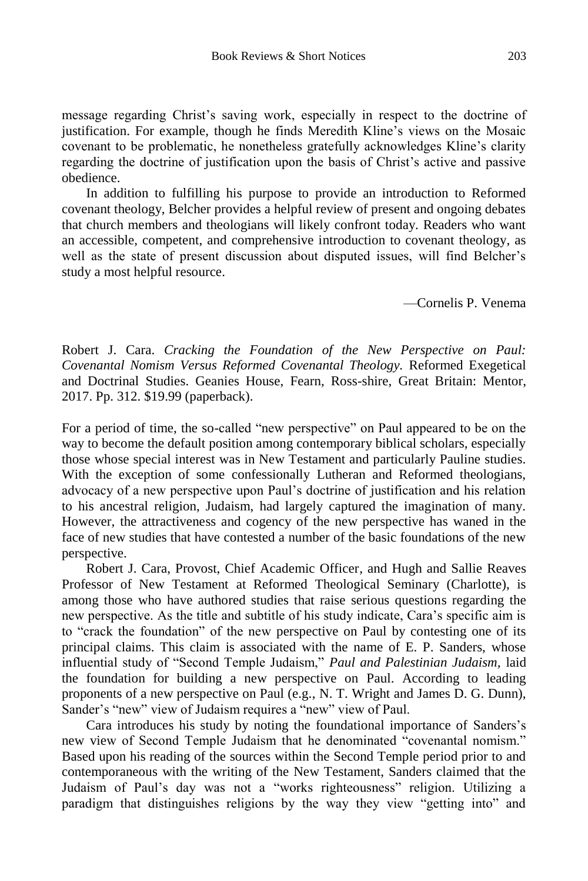message regarding Christ's saving work, especially in respect to the doctrine of justification. For example, though he finds Meredith Kline's views on the Mosaic covenant to be problematic, he nonetheless gratefully acknowledges Kline's clarity regarding the doctrine of justification upon the basis of Christ's active and passive obedience.

In addition to fulfilling his purpose to provide an introduction to Reformed covenant theology, Belcher provides a helpful review of present and ongoing debates that church members and theologians will likely confront today. Readers who want an accessible, competent, and comprehensive introduction to covenant theology, as well as the state of present discussion about disputed issues, will find Belcher's study a most helpful resource.

—Cornelis P. Venema

Robert J. Cara. *Cracking the Foundation of the New Perspective on Paul: Covenantal Nomism Versus Reformed Covenantal Theology.* Reformed Exegetical and Doctrinal Studies. Geanies House, Fearn, Ross-shire, Great Britain: Mentor, 2017. Pp. 312. \$19.99 (paperback).

For a period of time, the so-called "new perspective" on Paul appeared to be on the way to become the default position among contemporary biblical scholars, especially those whose special interest was in New Testament and particularly Pauline studies. With the exception of some confessionally Lutheran and Reformed theologians, advocacy of a new perspective upon Paul's doctrine of justification and his relation to his ancestral religion, Judaism, had largely captured the imagination of many. However, the attractiveness and cogency of the new perspective has waned in the face of new studies that have contested a number of the basic foundations of the new perspective.

Robert J. Cara, Provost, Chief Academic Officer, and Hugh and Sallie Reaves Professor of New Testament at Reformed Theological Seminary (Charlotte), is among those who have authored studies that raise serious questions regarding the new perspective. As the title and subtitle of his study indicate, Cara's specific aim is to "crack the foundation" of the new perspective on Paul by contesting one of its principal claims. This claim is associated with the name of E. P. Sanders, whose influential study of "Second Temple Judaism," *Paul and Palestinian Judaism,* laid the foundation for building a new perspective on Paul. According to leading proponents of a new perspective on Paul (e.g., N. T. Wright and James D. G. Dunn), Sander's "new" view of Judaism requires a "new" view of Paul.

Cara introduces his study by noting the foundational importance of Sanders's new view of Second Temple Judaism that he denominated "covenantal nomism." Based upon his reading of the sources within the Second Temple period prior to and contemporaneous with the writing of the New Testament, Sanders claimed that the Judaism of Paul's day was not a "works righteousness" religion. Utilizing a paradigm that distinguishes religions by the way they view "getting into" and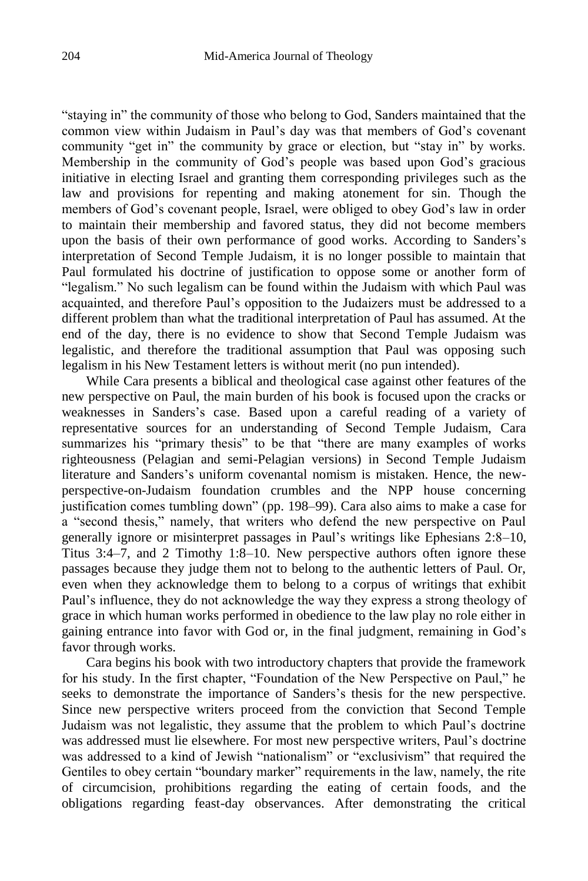"staying in" the community of those who belong to God, Sanders maintained that the common view within Judaism in Paul's day was that members of God's covenant community "get in" the community by grace or election, but "stay in" by works. Membership in the community of God's people was based upon God's gracious initiative in electing Israel and granting them corresponding privileges such as the law and provisions for repenting and making atonement for sin. Though the members of God's covenant people, Israel, were obliged to obey God's law in order to maintain their membership and favored status, they did not become members upon the basis of their own performance of good works. According to Sanders's interpretation of Second Temple Judaism, it is no longer possible to maintain that Paul formulated his doctrine of justification to oppose some or another form of "legalism." No such legalism can be found within the Judaism with which Paul was acquainted, and therefore Paul's opposition to the Judaizers must be addressed to a different problem than what the traditional interpretation of Paul has assumed. At the end of the day, there is no evidence to show that Second Temple Judaism was legalistic, and therefore the traditional assumption that Paul was opposing such legalism in his New Testament letters is without merit (no pun intended).

While Cara presents a biblical and theological case against other features of the new perspective on Paul, the main burden of his book is focused upon the cracks or weaknesses in Sanders's case. Based upon a careful reading of a variety of representative sources for an understanding of Second Temple Judaism, Cara summarizes his "primary thesis" to be that "there are many examples of works righteousness (Pelagian and semi-Pelagian versions) in Second Temple Judaism literature and Sanders's uniform covenantal nomism is mistaken. Hence, the newperspective-on-Judaism foundation crumbles and the NPP house concerning justification comes tumbling down" (pp. 198–99). Cara also aims to make a case for a "second thesis," namely, that writers who defend the new perspective on Paul generally ignore or misinterpret passages in Paul's writings like Ephesians 2:8–10, Titus 3:4–7, and 2 Timothy 1:8–10. New perspective authors often ignore these passages because they judge them not to belong to the authentic letters of Paul. Or, even when they acknowledge them to belong to a corpus of writings that exhibit Paul's influence, they do not acknowledge the way they express a strong theology of grace in which human works performed in obedience to the law play no role either in gaining entrance into favor with God or, in the final judgment, remaining in God's favor through works.

Cara begins his book with two introductory chapters that provide the framework for his study. In the first chapter, "Foundation of the New Perspective on Paul," he seeks to demonstrate the importance of Sanders's thesis for the new perspective. Since new perspective writers proceed from the conviction that Second Temple Judaism was not legalistic, they assume that the problem to which Paul's doctrine was addressed must lie elsewhere. For most new perspective writers, Paul's doctrine was addressed to a kind of Jewish "nationalism" or "exclusivism" that required the Gentiles to obey certain "boundary marker" requirements in the law, namely, the rite of circumcision, prohibitions regarding the eating of certain foods, and the obligations regarding feast-day observances. After demonstrating the critical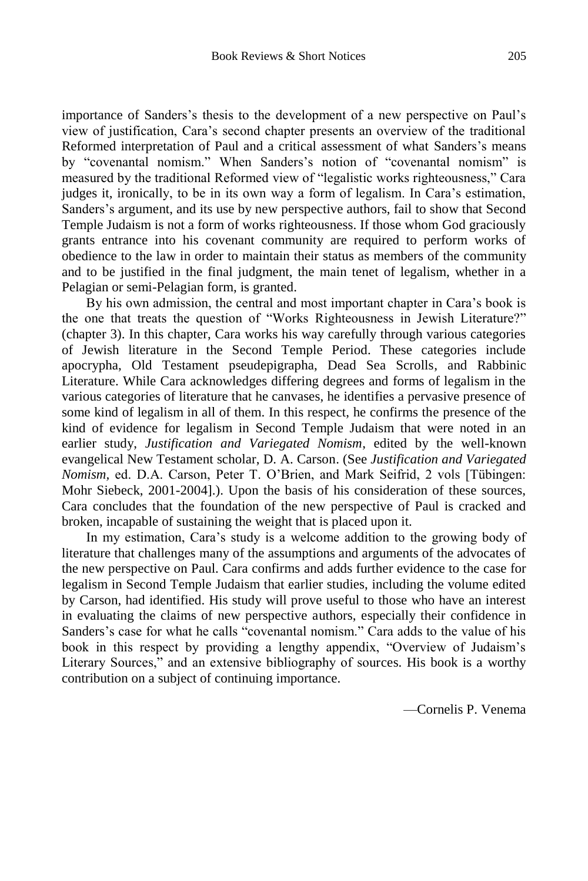importance of Sanders's thesis to the development of a new perspective on Paul's view of justification, Cara's second chapter presents an overview of the traditional Reformed interpretation of Paul and a critical assessment of what Sanders's means by "covenantal nomism." When Sanders's notion of "covenantal nomism" is measured by the traditional Reformed view of "legalistic works righteousness," Cara judges it, ironically, to be in its own way a form of legalism. In Cara's estimation, Sanders's argument, and its use by new perspective authors, fail to show that Second Temple Judaism is not a form of works righteousness. If those whom God graciously grants entrance into his covenant community are required to perform works of obedience to the law in order to maintain their status as members of the community and to be justified in the final judgment, the main tenet of legalism, whether in a Pelagian or semi-Pelagian form, is granted.

By his own admission, the central and most important chapter in Cara's book is the one that treats the question of "Works Righteousness in Jewish Literature?" (chapter 3). In this chapter, Cara works his way carefully through various categories of Jewish literature in the Second Temple Period. These categories include apocrypha, Old Testament pseudepigrapha, Dead Sea Scrolls, and Rabbinic Literature. While Cara acknowledges differing degrees and forms of legalism in the various categories of literature that he canvases, he identifies a pervasive presence of some kind of legalism in all of them. In this respect, he confirms the presence of the kind of evidence for legalism in Second Temple Judaism that were noted in an earlier study, *Justification and Variegated Nomism*, edited by the well-known evangelical New Testament scholar, D. A. Carson. (See *Justification and Variegated Nomism,* ed. D.A. Carson, Peter T. O'Brien, and Mark Seifrid, 2 vols [Tübingen: Mohr Siebeck, 2001-2004].). Upon the basis of his consideration of these sources, Cara concludes that the foundation of the new perspective of Paul is cracked and broken, incapable of sustaining the weight that is placed upon it.

In my estimation, Cara's study is a welcome addition to the growing body of literature that challenges many of the assumptions and arguments of the advocates of the new perspective on Paul. Cara confirms and adds further evidence to the case for legalism in Second Temple Judaism that earlier studies, including the volume edited by Carson, had identified. His study will prove useful to those who have an interest in evaluating the claims of new perspective authors, especially their confidence in Sanders's case for what he calls "covenantal nomism." Cara adds to the value of his book in this respect by providing a lengthy appendix, "Overview of Judaism's Literary Sources," and an extensive bibliography of sources. His book is a worthy contribution on a subject of continuing importance.

—Cornelis P. Venema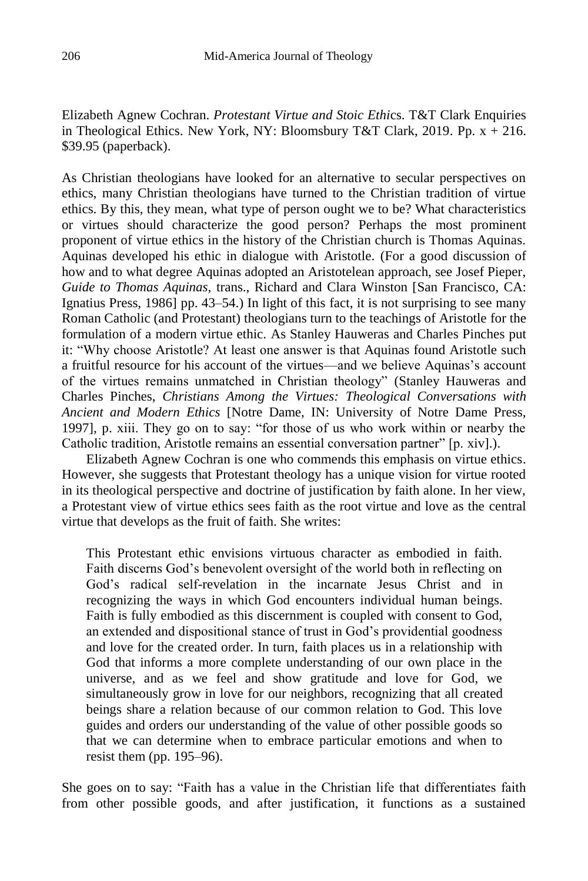Elizabeth Agnew Cochran. *Protestant Virtue and Stoic Ethi*cs. T&T Clark Enquiries in Theological Ethics. New York, NY: Bloomsbury T&T Clark, 2019. Pp.  $x + 216$ . \$39.95 (paperback).

As Christian theologians have looked for an alternative to secular perspectives on ethics, many Christian theologians have turned to the Christian tradition of virtue ethics. By this, they mean, what type of person ought we to be? What characteristics or virtues should characterize the good person? Perhaps the most prominent proponent of virtue ethics in the history of the Christian church is Thomas Aquinas. Aquinas developed his ethic in dialogue with Aristotle. (For a good discussion of how and to what degree Aquinas adopted an Aristotelean approach, see Josef Pieper, *Guide to Thomas Aquinas,* trans., Richard and Clara Winston [San Francisco, CA: Ignatius Press, 1986] pp. 43–54.) In light of this fact, it is not surprising to see many Roman Catholic (and Protestant) theologians turn to the teachings of Aristotle for the formulation of a modern virtue ethic. As Stanley Hauweras and Charles Pinches put it: "Why choose Aristotle? At least one answer is that Aquinas found Aristotle such a fruitful resource for his account of the virtues—and we believe Aquinas's account of the virtues remains unmatched in Christian theology" (Stanley Hauweras and Charles Pinches, *Christians Among the Virtues: Theological Conversations with Ancient and Modern Ethics* [Notre Dame, IN: University of Notre Dame Press, 1997], p. xiii. They go on to say: "for those of us who work within or nearby the Catholic tradition, Aristotle remains an essential conversation partner" [p. xiv].).

Elizabeth Agnew Cochran is one who commends this emphasis on virtue ethics. However, she suggests that Protestant theology has a unique vision for virtue rooted in its theological perspective and doctrine of justification by faith alone. In her view, a Protestant view of virtue ethics sees faith as the root virtue and love as the central virtue that develops as the fruit of faith. She writes:

This Protestant ethic envisions virtuous character as embodied in faith. Faith discerns God's benevolent oversight of the world both in reflecting on God's radical self-revelation in the incarnate Jesus Christ and in recognizing the ways in which God encounters individual human beings. Faith is fully embodied as this discernment is coupled with consent to God, an extended and dispositional stance of trust in God's providential goodness and love for the created order. In turn, faith places us in a relationship with God that informs a more complete understanding of our own place in the universe, and as we feel and show gratitude and love for God, we simultaneously grow in love for our neighbors, recognizing that all created beings share a relation because of our common relation to God. This love guides and orders our understanding of the value of other possible goods so that we can determine when to embrace particular emotions and when to resist them (pp. 195–96).

She goes on to say: "Faith has a value in the Christian life that differentiates faith from other possible goods, and after justification, it functions as a sustained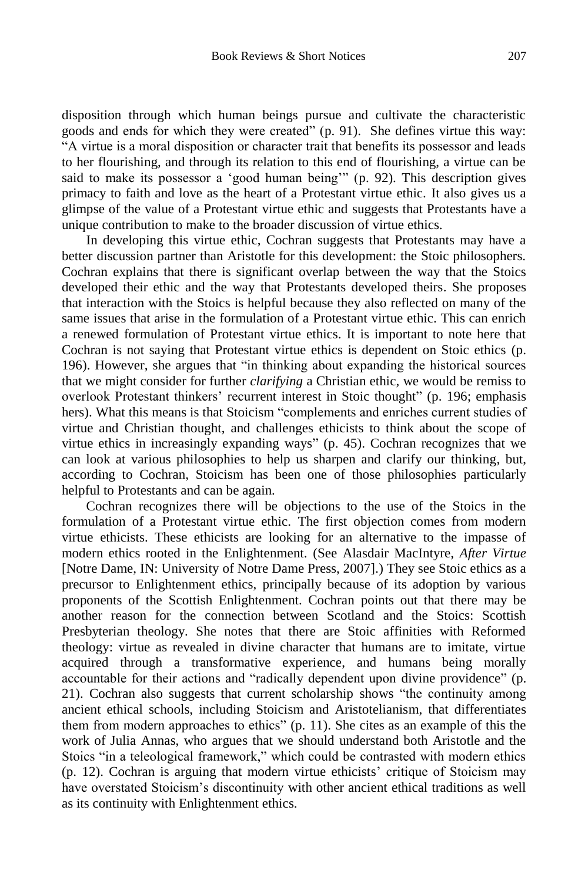disposition through which human beings pursue and cultivate the characteristic goods and ends for which they were created" (p. 91). She defines virtue this way: "A virtue is a moral disposition or character trait that benefits its possessor and leads to her flourishing, and through its relation to this end of flourishing, a virtue can be said to make its possessor a 'good human being'" (p. 92). This description gives primacy to faith and love as the heart of a Protestant virtue ethic. It also gives us a glimpse of the value of a Protestant virtue ethic and suggests that Protestants have a unique contribution to make to the broader discussion of virtue ethics.

In developing this virtue ethic, Cochran suggests that Protestants may have a better discussion partner than Aristotle for this development: the Stoic philosophers. Cochran explains that there is significant overlap between the way that the Stoics developed their ethic and the way that Protestants developed theirs. She proposes that interaction with the Stoics is helpful because they also reflected on many of the same issues that arise in the formulation of a Protestant virtue ethic. This can enrich a renewed formulation of Protestant virtue ethics. It is important to note here that Cochran is not saying that Protestant virtue ethics is dependent on Stoic ethics (p. 196). However, she argues that "in thinking about expanding the historical sources that we might consider for further *clarifying* a Christian ethic, we would be remiss to overlook Protestant thinkers' recurrent interest in Stoic thought" (p. 196; emphasis hers). What this means is that Stoicism "complements and enriches current studies of virtue and Christian thought, and challenges ethicists to think about the scope of virtue ethics in increasingly expanding ways" (p. 45). Cochran recognizes that we can look at various philosophies to help us sharpen and clarify our thinking, but, according to Cochran, Stoicism has been one of those philosophies particularly helpful to Protestants and can be again.

Cochran recognizes there will be objections to the use of the Stoics in the formulation of a Protestant virtue ethic. The first objection comes from modern virtue ethicists. These ethicists are looking for an alternative to the impasse of modern ethics rooted in the Enlightenment. (See Alasdair MacIntyre, *After Virtue* [Notre Dame, IN: University of Notre Dame Press, 2007].) They see Stoic ethics as a precursor to Enlightenment ethics, principally because of its adoption by various proponents of the Scottish Enlightenment. Cochran points out that there may be another reason for the connection between Scotland and the Stoics: Scottish Presbyterian theology. She notes that there are Stoic affinities with Reformed theology: virtue as revealed in divine character that humans are to imitate, virtue acquired through a transformative experience, and humans being morally accountable for their actions and "radically dependent upon divine providence" (p. 21). Cochran also suggests that current scholarship shows "the continuity among ancient ethical schools, including Stoicism and Aristotelianism, that differentiates them from modern approaches to ethics" (p. 11). She cites as an example of this the work of Julia Annas, who argues that we should understand both Aristotle and the Stoics "in a teleological framework," which could be contrasted with modern ethics (p. 12). Cochran is arguing that modern virtue ethicists' critique of Stoicism may have overstated Stoicism's discontinuity with other ancient ethical traditions as well as its continuity with Enlightenment ethics.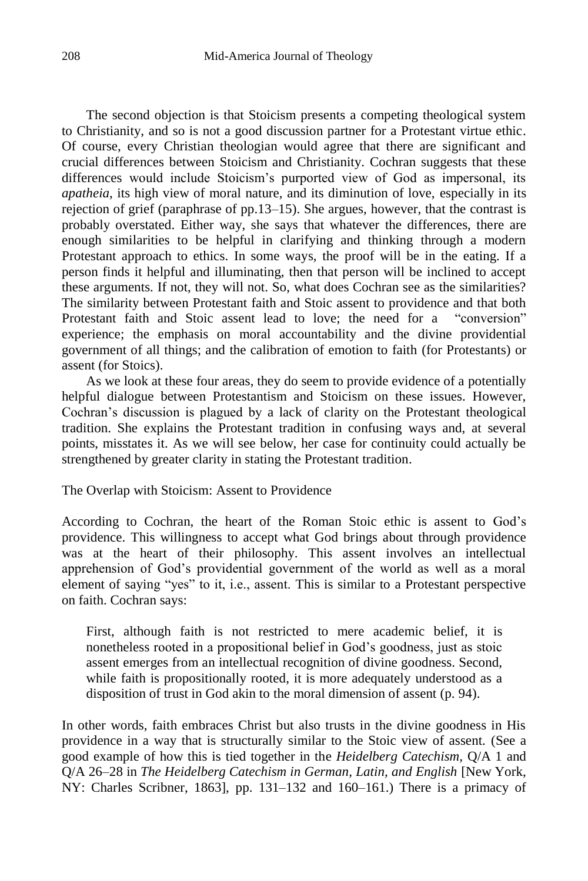The second objection is that Stoicism presents a competing theological system to Christianity, and so is not a good discussion partner for a Protestant virtue ethic. Of course, every Christian theologian would agree that there are significant and crucial differences between Stoicism and Christianity. Cochran suggests that these differences would include Stoicism's purported view of God as impersonal, its *apatheia*, its high view of moral nature, and its diminution of love, especially in its rejection of grief (paraphrase of pp.13–15). She argues, however, that the contrast is probably overstated. Either way, she says that whatever the differences, there are enough similarities to be helpful in clarifying and thinking through a modern Protestant approach to ethics. In some ways, the proof will be in the eating. If a person finds it helpful and illuminating, then that person will be inclined to accept these arguments. If not, they will not. So, what does Cochran see as the similarities? The similarity between Protestant faith and Stoic assent to providence and that both Protestant faith and Stoic assent lead to love; the need for a "conversion" experience; the emphasis on moral accountability and the divine providential government of all things; and the calibration of emotion to faith (for Protestants) or assent (for Stoics).

As we look at these four areas, they do seem to provide evidence of a potentially helpful dialogue between Protestantism and Stoicism on these issues. However, Cochran's discussion is plagued by a lack of clarity on the Protestant theological tradition. She explains the Protestant tradition in confusing ways and, at several points, misstates it. As we will see below, her case for continuity could actually be strengthened by greater clarity in stating the Protestant tradition.

The Overlap with Stoicism: Assent to Providence

According to Cochran, the heart of the Roman Stoic ethic is assent to God's providence. This willingness to accept what God brings about through providence was at the heart of their philosophy. This assent involves an intellectual apprehension of God's providential government of the world as well as a moral element of saying "yes" to it, i.e., assent. This is similar to a Protestant perspective on faith. Cochran says:

First, although faith is not restricted to mere academic belief, it is nonetheless rooted in a propositional belief in God's goodness, just as stoic assent emerges from an intellectual recognition of divine goodness. Second, while faith is propositionally rooted, it is more adequately understood as a disposition of trust in God akin to the moral dimension of assent (p. 94).

In other words, faith embraces Christ but also trusts in the divine goodness in His providence in a way that is structurally similar to the Stoic view of assent. (See a good example of how this is tied together in the *Heidelberg Catechism,* Q/A 1 and Q/A 26–28 in *The Heidelberg Catechism in German, Latin, and English* [New York, NY: Charles Scribner, 1863], pp. 131–132 and 160–161.) There is a primacy of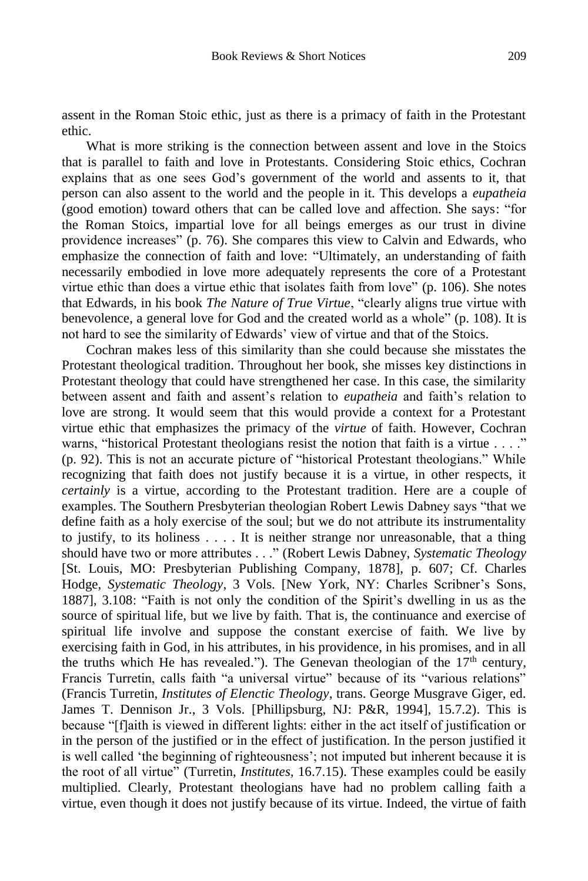assent in the Roman Stoic ethic, just as there is a primacy of faith in the Protestant ethic.

What is more striking is the connection between assent and love in the Stoics that is parallel to faith and love in Protestants. Considering Stoic ethics, Cochran explains that as one sees God's government of the world and assents to it, that person can also assent to the world and the people in it. This develops a *eupatheia*  (good emotion) toward others that can be called love and affection. She says: "for the Roman Stoics, impartial love for all beings emerges as our trust in divine providence increases" (p. 76). She compares this view to Calvin and Edwards, who emphasize the connection of faith and love: "Ultimately, an understanding of faith necessarily embodied in love more adequately represents the core of a Protestant virtue ethic than does a virtue ethic that isolates faith from love" (p. 106). She notes that Edwards, in his book *The Nature of True Virtue*, "clearly aligns true virtue with benevolence, a general love for God and the created world as a whole" (p. 108). It is not hard to see the similarity of Edwards' view of virtue and that of the Stoics.

Cochran makes less of this similarity than she could because she misstates the Protestant theological tradition. Throughout her book, she misses key distinctions in Protestant theology that could have strengthened her case. In this case, the similarity between assent and faith and assent's relation to *eupatheia* and faith's relation to love are strong. It would seem that this would provide a context for a Protestant virtue ethic that emphasizes the primacy of the *virtue* of faith. However, Cochran warns, "historical Protestant theologians resist the notion that faith is a virtue . . . ." (p. 92). This is not an accurate picture of "historical Protestant theologians." While recognizing that faith does not justify because it is a virtue, in other respects, it *certainly* is a virtue, according to the Protestant tradition. Here are a couple of examples. The Southern Presbyterian theologian Robert Lewis Dabney says "that we define faith as a holy exercise of the soul; but we do not attribute its instrumentality to justify, to its holiness . . . . It is neither strange nor unreasonable, that a thing should have two or more attributes . . ." (Robert Lewis Dabney, *Systematic Theology* [St. Louis, MO: Presbyterian Publishing Company, 1878], p. 607; Cf. Charles Hodge, *Systematic Theology*, 3 Vols. [New York, NY: Charles Scribner's Sons, 1887], 3.108: "Faith is not only the condition of the Spirit's dwelling in us as the source of spiritual life, but we live by faith. That is, the continuance and exercise of spiritual life involve and suppose the constant exercise of faith. We live by exercising faith in God, in his attributes, in his providence, in his promises, and in all the truths which He has revealed."). The Genevan theologian of the  $17<sup>th</sup>$  century, Francis Turretin, calls faith "a universal virtue" because of its "various relations" (Francis Turretin, *Institutes of Elenctic Theology*, trans. George Musgrave Giger, ed. James T. Dennison Jr., 3 Vols. [Phillipsburg, NJ: P&R, 1994], 15.7.2). This is because "[f]aith is viewed in different lights: either in the act itself of justification or in the person of the justified or in the effect of justification. In the person justified it is well called 'the beginning of righteousness'; not imputed but inherent because it is the root of all virtue" (Turretin, *Institutes,* 16.7.15). These examples could be easily multiplied. Clearly, Protestant theologians have had no problem calling faith a virtue, even though it does not justify because of its virtue. Indeed, the virtue of faith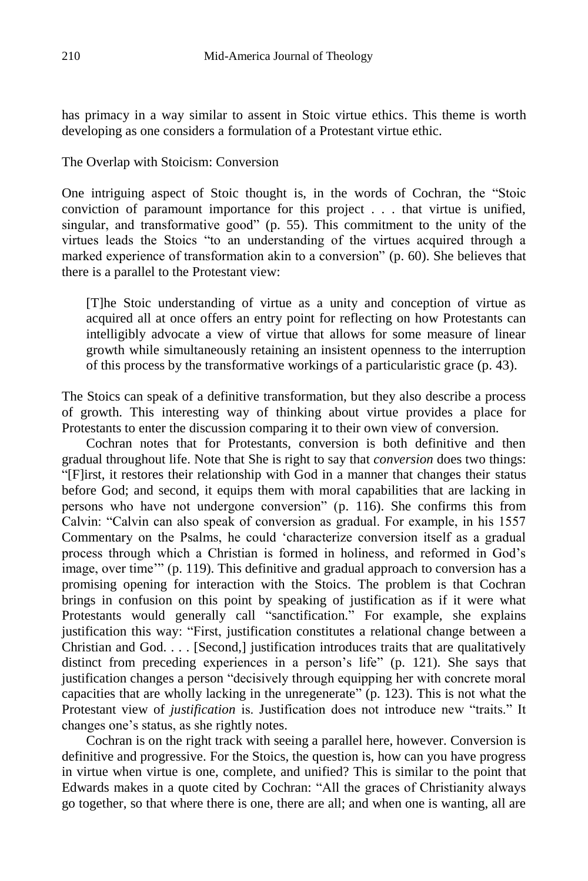has primacy in a way similar to assent in Stoic virtue ethics. This theme is worth developing as one considers a formulation of a Protestant virtue ethic.

The Overlap with Stoicism: Conversion

One intriguing aspect of Stoic thought is, in the words of Cochran, the "Stoic conviction of paramount importance for this project . . . that virtue is unified, singular, and transformative good" (p. 55). This commitment to the unity of the virtues leads the Stoics "to an understanding of the virtues acquired through a marked experience of transformation akin to a conversion" (p. 60). She believes that there is a parallel to the Protestant view:

[T]he Stoic understanding of virtue as a unity and conception of virtue as acquired all at once offers an entry point for reflecting on how Protestants can intelligibly advocate a view of virtue that allows for some measure of linear growth while simultaneously retaining an insistent openness to the interruption of this process by the transformative workings of a particularistic grace (p. 43).

The Stoics can speak of a definitive transformation, but they also describe a process of growth. This interesting way of thinking about virtue provides a place for Protestants to enter the discussion comparing it to their own view of conversion.

Cochran notes that for Protestants, conversion is both definitive and then gradual throughout life. Note that She is right to say that *conversion* does two things: "[F]irst, it restores their relationship with God in a manner that changes their status before God; and second, it equips them with moral capabilities that are lacking in persons who have not undergone conversion" (p. 116). She confirms this from Calvin: "Calvin can also speak of conversion as gradual. For example, in his 1557 Commentary on the Psalms, he could 'characterize conversion itself as a gradual process through which a Christian is formed in holiness, and reformed in God's image, over time'" (p. 119). This definitive and gradual approach to conversion has a promising opening for interaction with the Stoics. The problem is that Cochran brings in confusion on this point by speaking of justification as if it were what Protestants would generally call "sanctification." For example, she explains justification this way: "First, justification constitutes a relational change between a Christian and God. . . . [Second,] justification introduces traits that are qualitatively distinct from preceding experiences in a person's life" (p. 121). She says that justification changes a person "decisively through equipping her with concrete moral capacities that are wholly lacking in the unregenerate" (p. 123). This is not what the Protestant view of *justification* is. Justification does not introduce new "traits." It changes one's status, as she rightly notes.

Cochran is on the right track with seeing a parallel here, however. Conversion is definitive and progressive. For the Stoics, the question is, how can you have progress in virtue when virtue is one, complete, and unified? This is similar to the point that Edwards makes in a quote cited by Cochran: "All the graces of Christianity always go together, so that where there is one, there are all; and when one is wanting, all are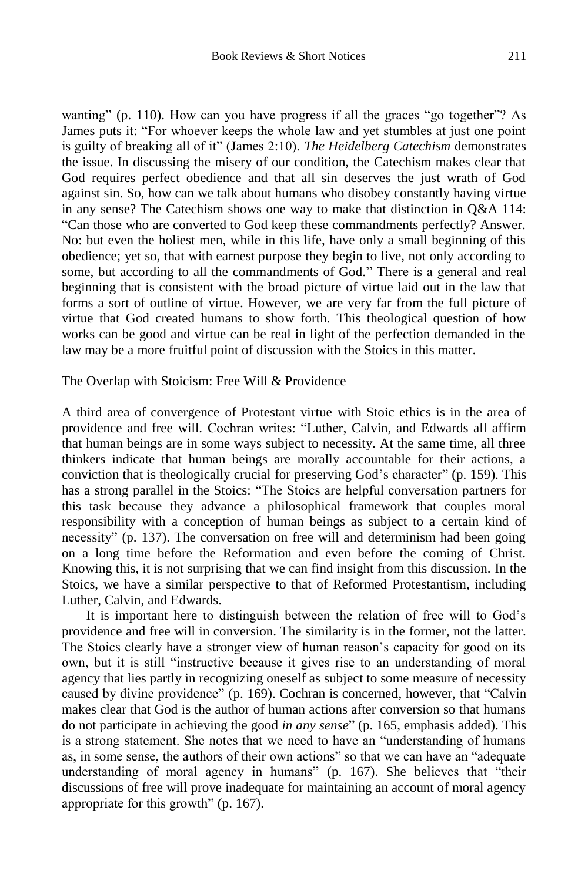wanting" (p. 110). How can you have progress if all the graces "go together"? As James puts it: "For whoever keeps the whole law and yet stumbles at just one point is guilty of breaking all of it" (James 2:10). *The Heidelberg Catechism* demonstrates the issue. In discussing the misery of our condition, the Catechism makes clear that God requires perfect obedience and that all sin deserves the just wrath of God against sin. So, how can we talk about humans who disobey constantly having virtue in any sense? The Catechism shows one way to make that distinction in Q&A 114: "Can those who are converted to God keep these commandments perfectly? Answer. No: but even the holiest men, while in this life, have only a small beginning of this obedience; yet so, that with earnest purpose they begin to live, not only according to some, but according to all the commandments of God." There is a general and real beginning that is consistent with the broad picture of virtue laid out in the law that forms a sort of outline of virtue. However, we are very far from the full picture of virtue that God created humans to show forth. This theological question of how works can be good and virtue can be real in light of the perfection demanded in the law may be a more fruitful point of discussion with the Stoics in this matter.

The Overlap with Stoicism: Free Will & Providence

A third area of convergence of Protestant virtue with Stoic ethics is in the area of providence and free will. Cochran writes: "Luther, Calvin, and Edwards all affirm that human beings are in some ways subject to necessity. At the same time, all three thinkers indicate that human beings are morally accountable for their actions, a conviction that is theologically crucial for preserving God's character" (p. 159). This has a strong parallel in the Stoics: "The Stoics are helpful conversation partners for this task because they advance a philosophical framework that couples moral responsibility with a conception of human beings as subject to a certain kind of necessity" (p. 137). The conversation on free will and determinism had been going on a long time before the Reformation and even before the coming of Christ. Knowing this, it is not surprising that we can find insight from this discussion. In the Stoics, we have a similar perspective to that of Reformed Protestantism, including Luther, Calvin, and Edwards.

It is important here to distinguish between the relation of free will to God's providence and free will in conversion. The similarity is in the former, not the latter. The Stoics clearly have a stronger view of human reason's capacity for good on its own, but it is still "instructive because it gives rise to an understanding of moral agency that lies partly in recognizing oneself as subject to some measure of necessity caused by divine providence" (p. 169). Cochran is concerned, however, that "Calvin makes clear that God is the author of human actions after conversion so that humans do not participate in achieving the good *in any sense*" (p. 165, emphasis added). This is a strong statement. She notes that we need to have an "understanding of humans as, in some sense, the authors of their own actions" so that we can have an "adequate understanding of moral agency in humans" (p. 167). She believes that "their discussions of free will prove inadequate for maintaining an account of moral agency appropriate for this growth" (p. 167).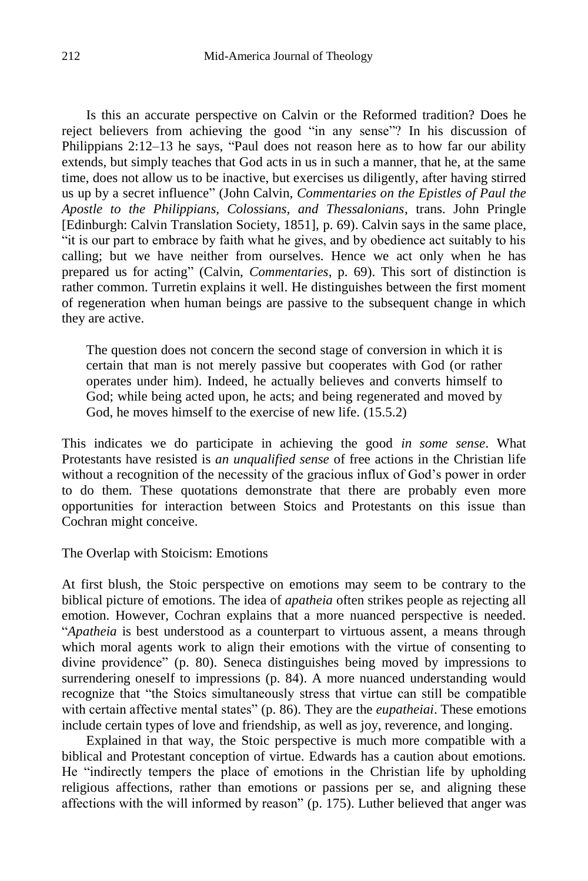Is this an accurate perspective on Calvin or the Reformed tradition? Does he reject believers from achieving the good "in any sense"? In his discussion of Philippians 2:12–13 he says, "Paul does not reason here as to how far our ability extends, but simply teaches that God acts in us in such a manner, that he, at the same time, does not allow us to be inactive, but exercises us diligently, after having stirred us up by a secret influence" (John Calvin, *Commentaries on the Epistles of Paul the Apostle to the Philippians, Colossians, and Thessalonians*, trans. John Pringle [Edinburgh: Calvin Translation Society, 1851], p. 69). Calvin says in the same place, "it is our part to embrace by faith what he gives, and by obedience act suitably to his calling; but we have neither from ourselves. Hence we act only when he has prepared us for acting" (Calvin, *Commentaries*, p. 69). This sort of distinction is rather common. Turretin explains it well. He distinguishes between the first moment of regeneration when human beings are passive to the subsequent change in which they are active.

The question does not concern the second stage of conversion in which it is certain that man is not merely passive but cooperates with God (or rather operates under him). Indeed, he actually believes and converts himself to God; while being acted upon, he acts; and being regenerated and moved by God, he moves himself to the exercise of new life. (15.5.2)

This indicates we do participate in achieving the good *in some sense*. What Protestants have resisted is *an unqualified sense* of free actions in the Christian life without a recognition of the necessity of the gracious influx of God's power in order to do them. These quotations demonstrate that there are probably even more opportunities for interaction between Stoics and Protestants on this issue than Cochran might conceive.

The Overlap with Stoicism: Emotions

At first blush, the Stoic perspective on emotions may seem to be contrary to the biblical picture of emotions. The idea of *apatheia* often strikes people as rejecting all emotion. However, Cochran explains that a more nuanced perspective is needed. "*Apatheia* is best understood as a counterpart to virtuous assent, a means through which moral agents work to align their emotions with the virtue of consenting to divine providence" (p. 80). Seneca distinguishes being moved by impressions to surrendering oneself to impressions (p. 84). A more nuanced understanding would recognize that "the Stoics simultaneously stress that virtue can still be compatible with certain affective mental states" (p. 86). They are the *eupatheiai*. These emotions include certain types of love and friendship, as well as joy, reverence, and longing.

Explained in that way, the Stoic perspective is much more compatible with a biblical and Protestant conception of virtue. Edwards has a caution about emotions. He "indirectly tempers the place of emotions in the Christian life by upholding religious affections, rather than emotions or passions per se, and aligning these affections with the will informed by reason" (p. 175). Luther believed that anger was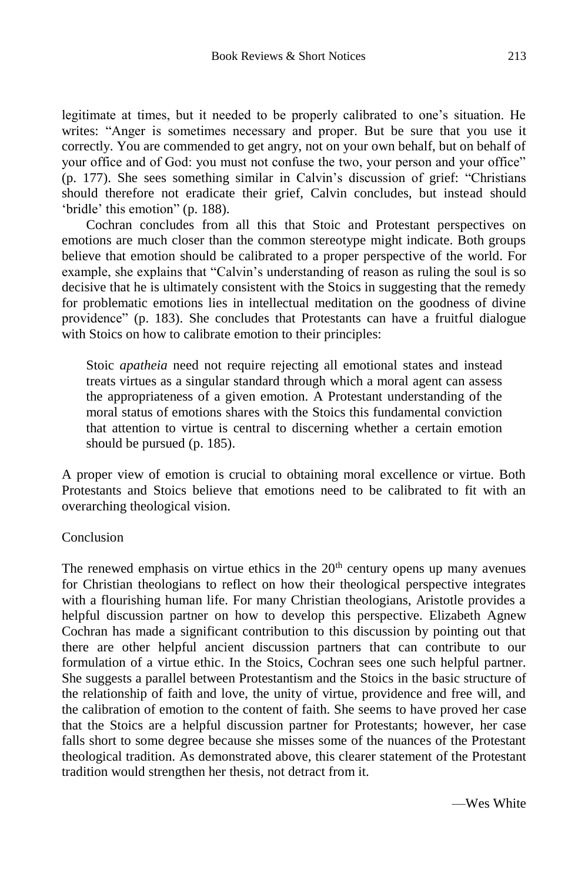legitimate at times, but it needed to be properly calibrated to one's situation. He writes: "Anger is sometimes necessary and proper. But be sure that you use it correctly. You are commended to get angry, not on your own behalf, but on behalf of your office and of God: you must not confuse the two, your person and your office" (p. 177). She sees something similar in Calvin's discussion of grief: "Christians should therefore not eradicate their grief, Calvin concludes, but instead should 'bridle' this emotion" (p. 188).

Cochran concludes from all this that Stoic and Protestant perspectives on emotions are much closer than the common stereotype might indicate. Both groups believe that emotion should be calibrated to a proper perspective of the world. For example, she explains that "Calvin's understanding of reason as ruling the soul is so decisive that he is ultimately consistent with the Stoics in suggesting that the remedy for problematic emotions lies in intellectual meditation on the goodness of divine providence" (p. 183). She concludes that Protestants can have a fruitful dialogue with Stoics on how to calibrate emotion to their principles:

Stoic *apatheia* need not require rejecting all emotional states and instead treats virtues as a singular standard through which a moral agent can assess the appropriateness of a given emotion. A Protestant understanding of the moral status of emotions shares with the Stoics this fundamental conviction that attention to virtue is central to discerning whether a certain emotion should be pursued (p. 185).

A proper view of emotion is crucial to obtaining moral excellence or virtue. Both Protestants and Stoics believe that emotions need to be calibrated to fit with an overarching theological vision.

## Conclusion

The renewed emphasis on virtue ethics in the  $20<sup>th</sup>$  century opens up many avenues for Christian theologians to reflect on how their theological perspective integrates with a flourishing human life. For many Christian theologians, Aristotle provides a helpful discussion partner on how to develop this perspective. Elizabeth Agnew Cochran has made a significant contribution to this discussion by pointing out that there are other helpful ancient discussion partners that can contribute to our formulation of a virtue ethic. In the Stoics, Cochran sees one such helpful partner. She suggests a parallel between Protestantism and the Stoics in the basic structure of the relationship of faith and love, the unity of virtue, providence and free will, and the calibration of emotion to the content of faith. She seems to have proved her case that the Stoics are a helpful discussion partner for Protestants; however, her case falls short to some degree because she misses some of the nuances of the Protestant theological tradition. As demonstrated above, this clearer statement of the Protestant tradition would strengthen her thesis, not detract from it.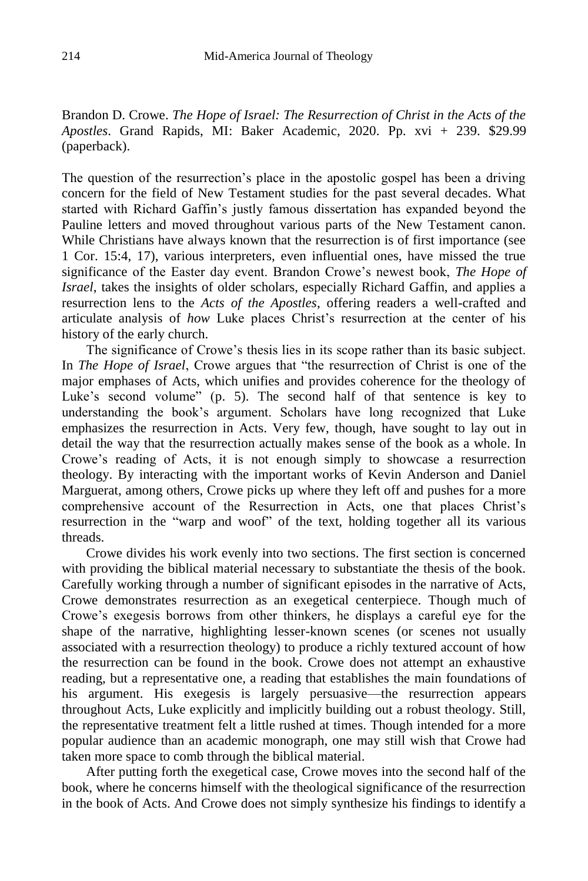Brandon D. Crowe. *The Hope of Israel: The Resurrection of Christ in the Acts of the Apostles*. Grand Rapids, MI: Baker Academic, 2020. Pp. xvi + 239. \$29.99 (paperback).

The question of the resurrection's place in the apostolic gospel has been a driving concern for the field of New Testament studies for the past several decades. What started with Richard Gaffin's justly famous dissertation has expanded beyond the Pauline letters and moved throughout various parts of the New Testament canon. While Christians have always known that the resurrection is of first importance (see 1 Cor. 15:4, 17), various interpreters, even influential ones, have missed the true significance of the Easter day event. Brandon Crowe's newest book, *The Hope of Israel*, takes the insights of older scholars, especially Richard Gaffin, and applies a resurrection lens to the *Acts of the Apostles*, offering readers a well-crafted and articulate analysis of *how* Luke places Christ's resurrection at the center of his history of the early church.

The significance of Crowe's thesis lies in its scope rather than its basic subject. In *The Hope of Israel*, Crowe argues that "the resurrection of Christ is one of the major emphases of Acts, which unifies and provides coherence for the theology of Luke's second volume" (p. 5). The second half of that sentence is key to understanding the book's argument. Scholars have long recognized that Luke emphasizes the resurrection in Acts. Very few, though, have sought to lay out in detail the way that the resurrection actually makes sense of the book as a whole. In Crowe's reading of Acts, it is not enough simply to showcase a resurrection theology. By interacting with the important works of Kevin Anderson and Daniel Marguerat, among others, Crowe picks up where they left off and pushes for a more comprehensive account of the Resurrection in Acts, one that places Christ's resurrection in the "warp and woof" of the text, holding together all its various threads.

Crowe divides his work evenly into two sections. The first section is concerned with providing the biblical material necessary to substantiate the thesis of the book. Carefully working through a number of significant episodes in the narrative of Acts, Crowe demonstrates resurrection as an exegetical centerpiece. Though much of Crowe's exegesis borrows from other thinkers, he displays a careful eye for the shape of the narrative, highlighting lesser-known scenes (or scenes not usually associated with a resurrection theology) to produce a richly textured account of how the resurrection can be found in the book. Crowe does not attempt an exhaustive reading, but a representative one, a reading that establishes the main foundations of his argument. His exegesis is largely persuasive—the resurrection appears throughout Acts, Luke explicitly and implicitly building out a robust theology. Still, the representative treatment felt a little rushed at times. Though intended for a more popular audience than an academic monograph, one may still wish that Crowe had taken more space to comb through the biblical material.

After putting forth the exegetical case, Crowe moves into the second half of the book, where he concerns himself with the theological significance of the resurrection in the book of Acts. And Crowe does not simply synthesize his findings to identify a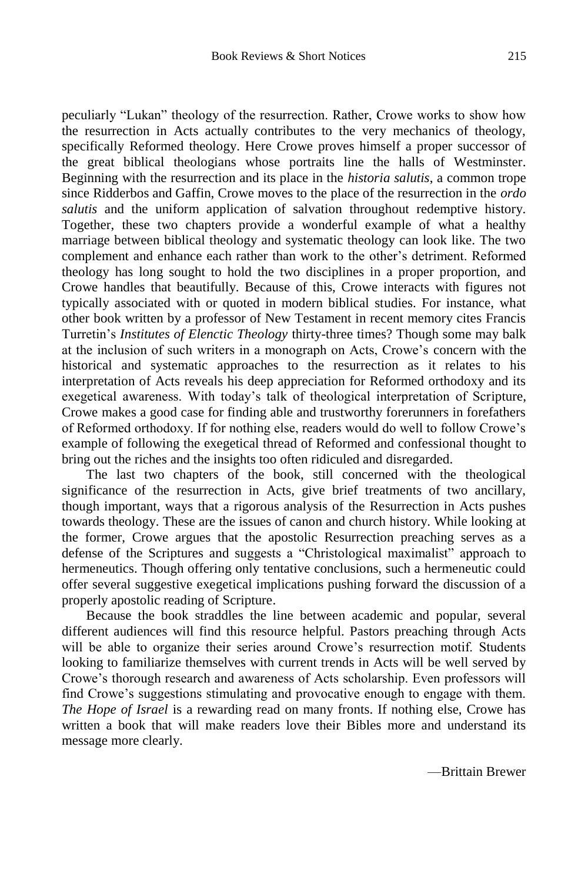peculiarly "Lukan" theology of the resurrection. Rather, Crowe works to show how the resurrection in Acts actually contributes to the very mechanics of theology, specifically Reformed theology. Here Crowe proves himself a proper successor of the great biblical theologians whose portraits line the halls of Westminster. Beginning with the resurrection and its place in the *historia salutis*, a common trope since Ridderbos and Gaffin, Crowe moves to the place of the resurrection in the *ordo salutis* and the uniform application of salvation throughout redemptive history. Together, these two chapters provide a wonderful example of what a healthy marriage between biblical theology and systematic theology can look like. The two complement and enhance each rather than work to the other's detriment. Reformed theology has long sought to hold the two disciplines in a proper proportion, and Crowe handles that beautifully. Because of this, Crowe interacts with figures not typically associated with or quoted in modern biblical studies. For instance, what other book written by a professor of New Testament in recent memory cites Francis Turretin's *Institutes of Elenctic Theology* thirty-three times? Though some may balk at the inclusion of such writers in a monograph on Acts, Crowe's concern with the historical and systematic approaches to the resurrection as it relates to his interpretation of Acts reveals his deep appreciation for Reformed orthodoxy and its exegetical awareness. With today's talk of theological interpretation of Scripture, Crowe makes a good case for finding able and trustworthy forerunners in forefathers of Reformed orthodoxy. If for nothing else, readers would do well to follow Crowe's example of following the exegetical thread of Reformed and confessional thought to bring out the riches and the insights too often ridiculed and disregarded.

The last two chapters of the book, still concerned with the theological significance of the resurrection in Acts, give brief treatments of two ancillary, though important, ways that a rigorous analysis of the Resurrection in Acts pushes towards theology. These are the issues of canon and church history. While looking at the former, Crowe argues that the apostolic Resurrection preaching serves as a defense of the Scriptures and suggests a "Christological maximalist" approach to hermeneutics. Though offering only tentative conclusions, such a hermeneutic could offer several suggestive exegetical implications pushing forward the discussion of a properly apostolic reading of Scripture.

Because the book straddles the line between academic and popular, several different audiences will find this resource helpful. Pastors preaching through Acts will be able to organize their series around Crowe's resurrection motif. Students looking to familiarize themselves with current trends in Acts will be well served by Crowe's thorough research and awareness of Acts scholarship. Even professors will find Crowe's suggestions stimulating and provocative enough to engage with them. *The Hope of Israel* is a rewarding read on many fronts. If nothing else, Crowe has written a book that will make readers love their Bibles more and understand its message more clearly.

—Brittain Brewer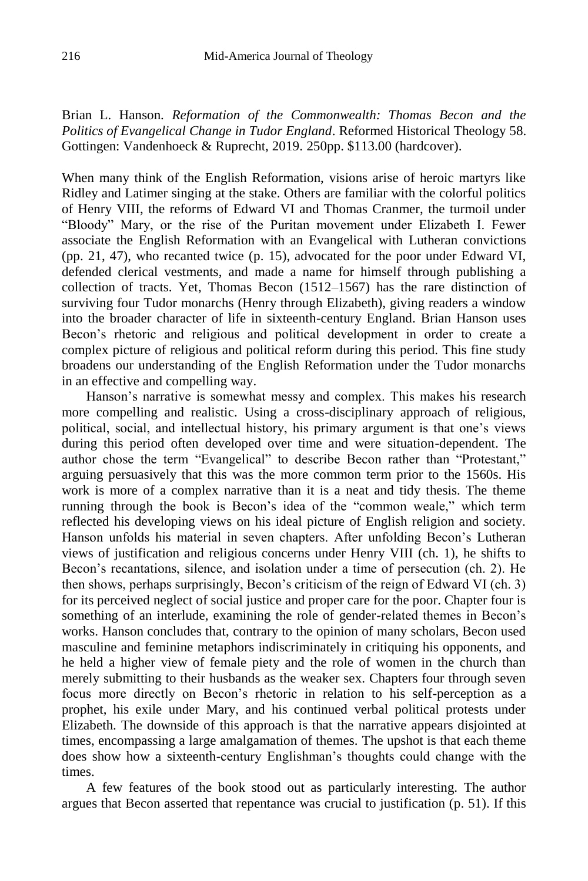Brian L. Hanson. *Reformation of the Commonwealth: Thomas Becon and the Politics of Evangelical Change in Tudor England*. Reformed Historical Theology 58. Gottingen: Vandenhoeck & Ruprecht, 2019. 250pp. \$113.00 (hardcover).

When many think of the English Reformation, visions arise of heroic martyrs like Ridley and Latimer singing at the stake. Others are familiar with the colorful politics of Henry VIII, the reforms of Edward VI and Thomas Cranmer, the turmoil under "Bloody" Mary, or the rise of the Puritan movement under Elizabeth I. Fewer associate the English Reformation with an Evangelical with Lutheran convictions (pp. 21, 47), who recanted twice (p. 15), advocated for the poor under Edward VI, defended clerical vestments, and made a name for himself through publishing a collection of tracts. Yet, Thomas Becon (1512–1567) has the rare distinction of surviving four Tudor monarchs (Henry through Elizabeth), giving readers a window into the broader character of life in sixteenth-century England. Brian Hanson uses Becon's rhetoric and religious and political development in order to create a complex picture of religious and political reform during this period. This fine study broadens our understanding of the English Reformation under the Tudor monarchs in an effective and compelling way.

Hanson's narrative is somewhat messy and complex. This makes his research more compelling and realistic. Using a cross-disciplinary approach of religious, political, social, and intellectual history, his primary argument is that one's views during this period often developed over time and were situation-dependent. The author chose the term "Evangelical" to describe Becon rather than "Protestant," arguing persuasively that this was the more common term prior to the 1560s. His work is more of a complex narrative than it is a neat and tidy thesis. The theme running through the book is Becon's idea of the "common weale," which term reflected his developing views on his ideal picture of English religion and society. Hanson unfolds his material in seven chapters. After unfolding Becon's Lutheran views of justification and religious concerns under Henry VIII (ch. 1), he shifts to Becon's recantations, silence, and isolation under a time of persecution (ch. 2). He then shows, perhaps surprisingly, Becon's criticism of the reign of Edward VI (ch. 3) for its perceived neglect of social justice and proper care for the poor. Chapter four is something of an interlude, examining the role of gender-related themes in Becon's works. Hanson concludes that, contrary to the opinion of many scholars, Becon used masculine and feminine metaphors indiscriminately in critiquing his opponents, and he held a higher view of female piety and the role of women in the church than merely submitting to their husbands as the weaker sex. Chapters four through seven focus more directly on Becon's rhetoric in relation to his self-perception as a prophet, his exile under Mary, and his continued verbal political protests under Elizabeth. The downside of this approach is that the narrative appears disjointed at times, encompassing a large amalgamation of themes. The upshot is that each theme does show how a sixteenth-century Englishman's thoughts could change with the times.

A few features of the book stood out as particularly interesting. The author argues that Becon asserted that repentance was crucial to justification (p. 51). If this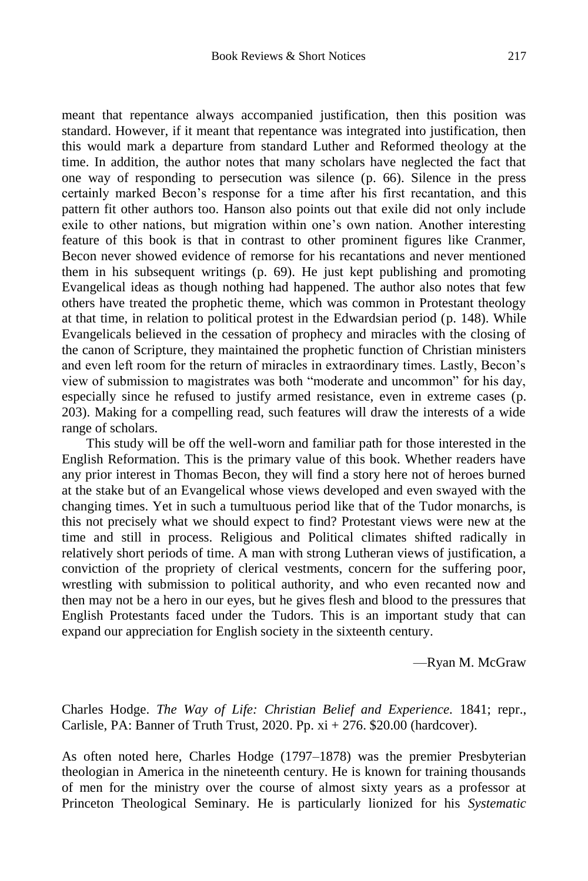meant that repentance always accompanied justification, then this position was standard. However, if it meant that repentance was integrated into justification, then this would mark a departure from standard Luther and Reformed theology at the time. In addition, the author notes that many scholars have neglected the fact that one way of responding to persecution was silence (p. 66). Silence in the press certainly marked Becon's response for a time after his first recantation, and this pattern fit other authors too. Hanson also points out that exile did not only include exile to other nations, but migration within one's own nation. Another interesting feature of this book is that in contrast to other prominent figures like Cranmer, Becon never showed evidence of remorse for his recantations and never mentioned them in his subsequent writings (p. 69). He just kept publishing and promoting Evangelical ideas as though nothing had happened. The author also notes that few

others have treated the prophetic theme, which was common in Protestant theology at that time, in relation to political protest in the Edwardsian period (p. 148). While Evangelicals believed in the cessation of prophecy and miracles with the closing of the canon of Scripture, they maintained the prophetic function of Christian ministers and even left room for the return of miracles in extraordinary times. Lastly, Becon's view of submission to magistrates was both "moderate and uncommon" for his day, especially since he refused to justify armed resistance, even in extreme cases (p. 203). Making for a compelling read, such features will draw the interests of a wide range of scholars.

This study will be off the well-worn and familiar path for those interested in the English Reformation. This is the primary value of this book. Whether readers have any prior interest in Thomas Becon, they will find a story here not of heroes burned at the stake but of an Evangelical whose views developed and even swayed with the changing times. Yet in such a tumultuous period like that of the Tudor monarchs, is this not precisely what we should expect to find? Protestant views were new at the time and still in process. Religious and Political climates shifted radically in relatively short periods of time. A man with strong Lutheran views of justification, a conviction of the propriety of clerical vestments, concern for the suffering poor, wrestling with submission to political authority, and who even recanted now and then may not be a hero in our eyes, but he gives flesh and blood to the pressures that English Protestants faced under the Tudors. This is an important study that can expand our appreciation for English society in the sixteenth century.

—Ryan M. McGraw

Charles Hodge. *The Way of Life: Christian Belief and Experience.* 1841; repr., Carlisle, PA: Banner of Truth Trust, 2020. Pp. xi + 276. \$20.00 (hardcover).

As often noted here, Charles Hodge (1797–1878) was the premier Presbyterian theologian in America in the nineteenth century. He is known for training thousands of men for the ministry over the course of almost sixty years as a professor at Princeton Theological Seminary. He is particularly lionized for his *Systematic*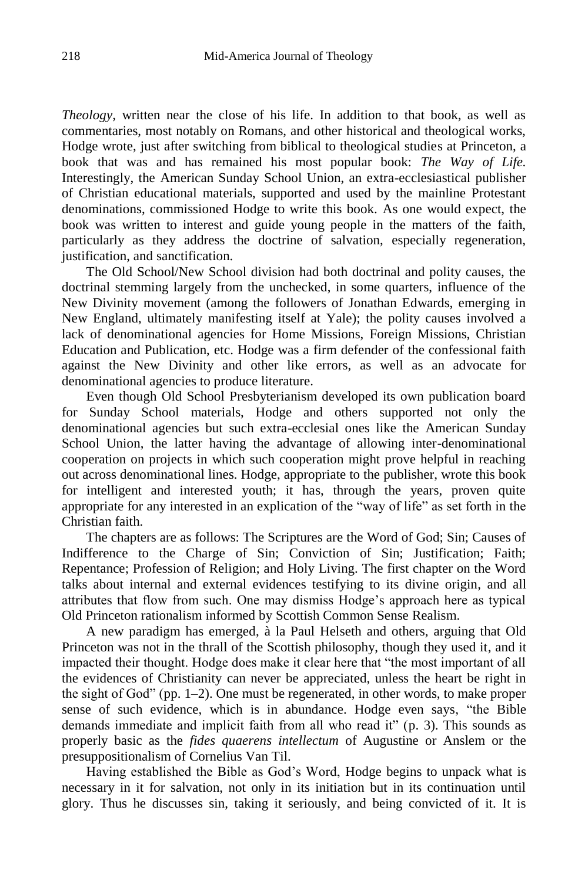*Theology,* written near the close of his life. In addition to that book, as well as commentaries, most notably on Romans, and other historical and theological works, Hodge wrote, just after switching from biblical to theological studies at Princeton, a book that was and has remained his most popular book: *The Way of Life.*  Interestingly, the American Sunday School Union, an extra-ecclesiastical publisher of Christian educational materials, supported and used by the mainline Protestant denominations, commissioned Hodge to write this book. As one would expect, the book was written to interest and guide young people in the matters of the faith, particularly as they address the doctrine of salvation, especially regeneration, justification, and sanctification.

The Old School/New School division had both doctrinal and polity causes, the doctrinal stemming largely from the unchecked, in some quarters, influence of the New Divinity movement (among the followers of Jonathan Edwards, emerging in New England, ultimately manifesting itself at Yale); the polity causes involved a lack of denominational agencies for Home Missions, Foreign Missions, Christian Education and Publication, etc. Hodge was a firm defender of the confessional faith against the New Divinity and other like errors, as well as an advocate for denominational agencies to produce literature.

Even though Old School Presbyterianism developed its own publication board for Sunday School materials, Hodge and others supported not only the denominational agencies but such extra-ecclesial ones like the American Sunday School Union, the latter having the advantage of allowing inter-denominational cooperation on projects in which such cooperation might prove helpful in reaching out across denominational lines. Hodge, appropriate to the publisher, wrote this book for intelligent and interested youth; it has, through the years, proven quite appropriate for any interested in an explication of the "way of life" as set forth in the Christian faith.

The chapters are as follows: The Scriptures are the Word of God; Sin; Causes of Indifference to the Charge of Sin; Conviction of Sin; Justification; Faith; Repentance; Profession of Religion; and Holy Living. The first chapter on the Word talks about internal and external evidences testifying to its divine origin, and all attributes that flow from such. One may dismiss Hodge's approach here as typical Old Princeton rationalism informed by Scottish Common Sense Realism.

A new paradigm has emerged, à la Paul Helseth and others, arguing that Old Princeton was not in the thrall of the Scottish philosophy, though they used it, and it impacted their thought. Hodge does make it clear here that "the most important of all the evidences of Christianity can never be appreciated, unless the heart be right in the sight of God" (pp. 1–2). One must be regenerated, in other words, to make proper sense of such evidence, which is in abundance. Hodge even says, "the Bible demands immediate and implicit faith from all who read it" (p. 3). This sounds as properly basic as the *fides quaerens intellectum* of Augustine or Anslem or the presuppositionalism of Cornelius Van Til.

Having established the Bible as God's Word, Hodge begins to unpack what is necessary in it for salvation, not only in its initiation but in its continuation until glory. Thus he discusses sin, taking it seriously, and being convicted of it. It is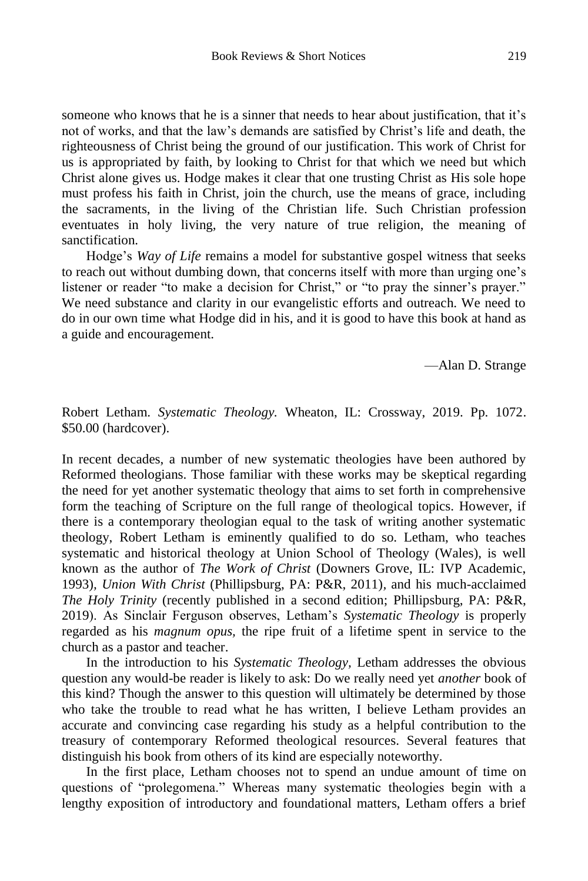someone who knows that he is a sinner that needs to hear about justification, that it's not of works, and that the law's demands are satisfied by Christ's life and death, the righteousness of Christ being the ground of our justification. This work of Christ for us is appropriated by faith, by looking to Christ for that which we need but which Christ alone gives us. Hodge makes it clear that one trusting Christ as His sole hope must profess his faith in Christ, join the church, use the means of grace, including the sacraments, in the living of the Christian life. Such Christian profession eventuates in holy living, the very nature of true religion, the meaning of sanctification.

Hodge's *Way of Life* remains a model for substantive gospel witness that seeks to reach out without dumbing down, that concerns itself with more than urging one's listener or reader "to make a decision for Christ," or "to pray the sinner's prayer." We need substance and clarity in our evangelistic efforts and outreach. We need to do in our own time what Hodge did in his, and it is good to have this book at hand as a guide and encouragement.

—Alan D. Strange

Robert Letham. *Systematic Theology.* Wheaton, IL: Crossway, 2019. Pp. 1072. \$50.00 (hardcover).

In recent decades, a number of new systematic theologies have been authored by Reformed theologians. Those familiar with these works may be skeptical regarding the need for yet another systematic theology that aims to set forth in comprehensive form the teaching of Scripture on the full range of theological topics. However, if there is a contemporary theologian equal to the task of writing another systematic theology, Robert Letham is eminently qualified to do so. Letham, who teaches systematic and historical theology at Union School of Theology (Wales), is well known as the author of *The Work of Christ* (Downers Grove, IL: IVP Academic, 1993)*, Union With Christ* (Phillipsburg, PA: P&R, 2011)*,* and his much-acclaimed *The Holy Trinity* (recently published in a second edition; Phillipsburg, PA: P&R, 2019). As Sinclair Ferguson observes, Letham's *Systematic Theology* is properly regarded as his *magnum opus,* the ripe fruit of a lifetime spent in service to the church as a pastor and teacher.

In the introduction to his *Systematic Theology,* Letham addresses the obvious question any would-be reader is likely to ask: Do we really need yet *another* book of this kind? Though the answer to this question will ultimately be determined by those who take the trouble to read what he has written, I believe Letham provides an accurate and convincing case regarding his study as a helpful contribution to the treasury of contemporary Reformed theological resources. Several features that distinguish his book from others of its kind are especially noteworthy.

In the first place, Letham chooses not to spend an undue amount of time on questions of "prolegomena." Whereas many systematic theologies begin with a lengthy exposition of introductory and foundational matters, Letham offers a brief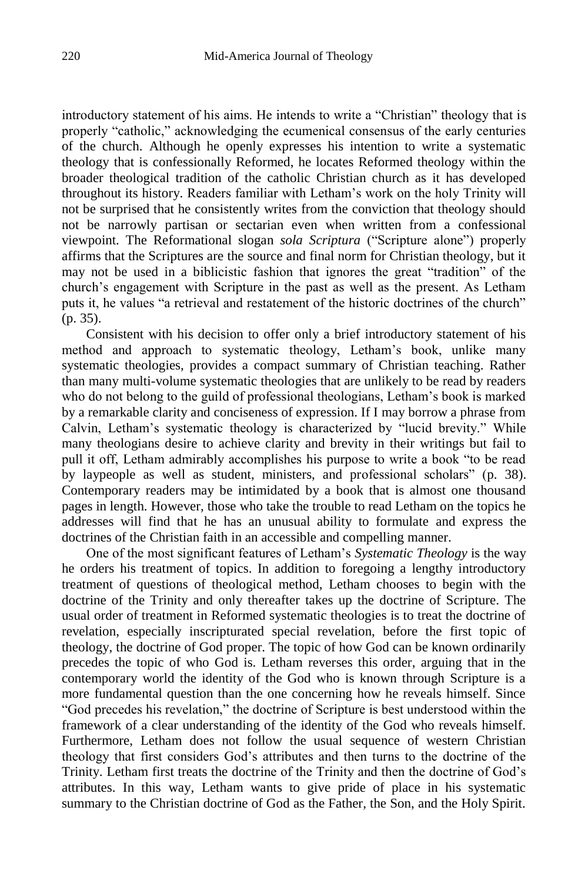introductory statement of his aims. He intends to write a "Christian" theology that is properly "catholic," acknowledging the ecumenical consensus of the early centuries of the church. Although he openly expresses his intention to write a systematic theology that is confessionally Reformed, he locates Reformed theology within the broader theological tradition of the catholic Christian church as it has developed throughout its history. Readers familiar with Letham's work on the holy Trinity will not be surprised that he consistently writes from the conviction that theology should not be narrowly partisan or sectarian even when written from a confessional viewpoint. The Reformational slogan *sola Scriptura* ("Scripture alone") properly affirms that the Scriptures are the source and final norm for Christian theology, but it may not be used in a biblicistic fashion that ignores the great "tradition" of the church's engagement with Scripture in the past as well as the present. As Letham puts it, he values "a retrieval and restatement of the historic doctrines of the church" (p. 35).

Consistent with his decision to offer only a brief introductory statement of his method and approach to systematic theology, Letham's book, unlike many systematic theologies, provides a compact summary of Christian teaching. Rather than many multi-volume systematic theologies that are unlikely to be read by readers who do not belong to the guild of professional theologians, Letham's book is marked by a remarkable clarity and conciseness of expression. If I may borrow a phrase from Calvin, Letham's systematic theology is characterized by "lucid brevity." While many theologians desire to achieve clarity and brevity in their writings but fail to pull it off, Letham admirably accomplishes his purpose to write a book "to be read by laypeople as well as student, ministers, and professional scholars" (p. 38). Contemporary readers may be intimidated by a book that is almost one thousand pages in length. However, those who take the trouble to read Letham on the topics he addresses will find that he has an unusual ability to formulate and express the doctrines of the Christian faith in an accessible and compelling manner.

One of the most significant features of Letham's *Systematic Theology* is the way he orders his treatment of topics. In addition to foregoing a lengthy introductory treatment of questions of theological method, Letham chooses to begin with the doctrine of the Trinity and only thereafter takes up the doctrine of Scripture. The usual order of treatment in Reformed systematic theologies is to treat the doctrine of revelation, especially inscripturated special revelation, before the first topic of theology, the doctrine of God proper. The topic of how God can be known ordinarily precedes the topic of who God is. Letham reverses this order, arguing that in the contemporary world the identity of the God who is known through Scripture is a more fundamental question than the one concerning how he reveals himself. Since "God precedes his revelation," the doctrine of Scripture is best understood within the framework of a clear understanding of the identity of the God who reveals himself. Furthermore, Letham does not follow the usual sequence of western Christian theology that first considers God's attributes and then turns to the doctrine of the Trinity. Letham first treats the doctrine of the Trinity and then the doctrine of God's attributes. In this way, Letham wants to give pride of place in his systematic summary to the Christian doctrine of God as the Father, the Son, and the Holy Spirit.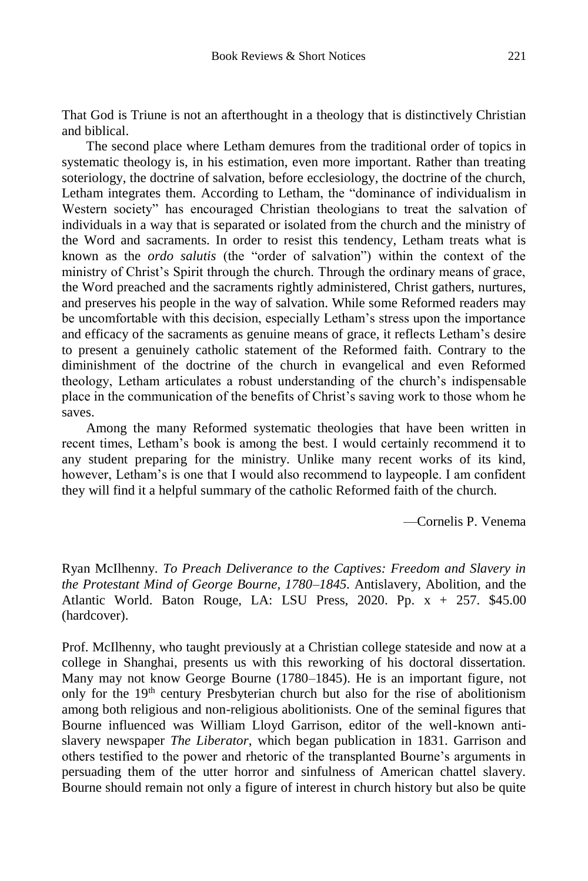That God is Triune is not an afterthought in a theology that is distinctively Christian and biblical.

The second place where Letham demures from the traditional order of topics in systematic theology is, in his estimation, even more important. Rather than treating soteriology, the doctrine of salvation, before ecclesiology, the doctrine of the church, Letham integrates them. According to Letham, the "dominance of individualism in Western society" has encouraged Christian theologians to treat the salvation of individuals in a way that is separated or isolated from the church and the ministry of the Word and sacraments. In order to resist this tendency, Letham treats what is known as the *ordo salutis* (the "order of salvation") within the context of the ministry of Christ's Spirit through the church. Through the ordinary means of grace, the Word preached and the sacraments rightly administered, Christ gathers, nurtures, and preserves his people in the way of salvation. While some Reformed readers may be uncomfortable with this decision, especially Letham's stress upon the importance and efficacy of the sacraments as genuine means of grace, it reflects Letham's desire to present a genuinely catholic statement of the Reformed faith. Contrary to the diminishment of the doctrine of the church in evangelical and even Reformed theology, Letham articulates a robust understanding of the church's indispensable place in the communication of the benefits of Christ's saving work to those whom he saves.

Among the many Reformed systematic theologies that have been written in recent times, Letham's book is among the best. I would certainly recommend it to any student preparing for the ministry. Unlike many recent works of its kind, however, Letham's is one that I would also recommend to laypeople. I am confident they will find it a helpful summary of the catholic Reformed faith of the church.

—Cornelis P. Venema

Ryan McIlhenny. *To Preach Deliverance to the Captives: Freedom and Slavery in the Protestant Mind of George Bourne, 1780–1845.* Antislavery, Abolition, and the Atlantic World. Baton Rouge, LA: LSU Press, 2020. Pp. x + 257. \$45.00 (hardcover).

Prof. McIlhenny, who taught previously at a Christian college stateside and now at a college in Shanghai, presents us with this reworking of his doctoral dissertation. Many may not know George Bourne (1780–1845). He is an important figure, not only for the 19th century Presbyterian church but also for the rise of abolitionism among both religious and non-religious abolitionists. One of the seminal figures that Bourne influenced was William Lloyd Garrison, editor of the well-known antislavery newspaper *The Liberator*, which began publication in 1831. Garrison and others testified to the power and rhetoric of the transplanted Bourne's arguments in persuading them of the utter horror and sinfulness of American chattel slavery. Bourne should remain not only a figure of interest in church history but also be quite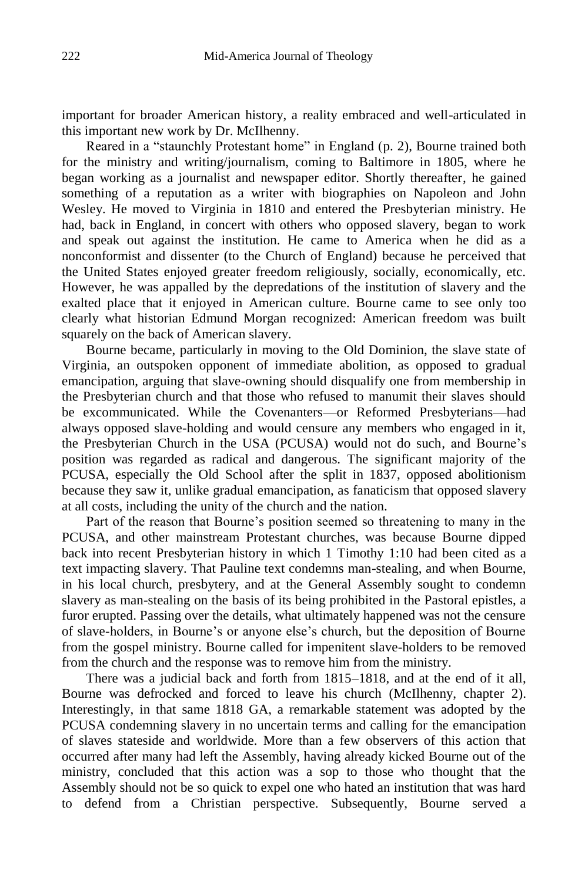important for broader American history, a reality embraced and well-articulated in this important new work by Dr. McIlhenny.

Reared in a "staunchly Protestant home" in England (p. 2), Bourne trained both for the ministry and writing/journalism, coming to Baltimore in 1805, where he began working as a journalist and newspaper editor. Shortly thereafter, he gained something of a reputation as a writer with biographies on Napoleon and John Wesley. He moved to Virginia in 1810 and entered the Presbyterian ministry. He had, back in England, in concert with others who opposed slavery, began to work and speak out against the institution. He came to America when he did as a nonconformist and dissenter (to the Church of England) because he perceived that the United States enjoyed greater freedom religiously, socially, economically, etc. However, he was appalled by the depredations of the institution of slavery and the exalted place that it enjoyed in American culture. Bourne came to see only too clearly what historian Edmund Morgan recognized: American freedom was built squarely on the back of American slavery.

Bourne became, particularly in moving to the Old Dominion, the slave state of Virginia, an outspoken opponent of immediate abolition, as opposed to gradual emancipation, arguing that slave-owning should disqualify one from membership in the Presbyterian church and that those who refused to manumit their slaves should be excommunicated. While the Covenanters—or Reformed Presbyterians—had always opposed slave-holding and would censure any members who engaged in it, the Presbyterian Church in the USA (PCUSA) would not do such, and Bourne's position was regarded as radical and dangerous. The significant majority of the PCUSA, especially the Old School after the split in 1837, opposed abolitionism because they saw it, unlike gradual emancipation, as fanaticism that opposed slavery at all costs, including the unity of the church and the nation.

Part of the reason that Bourne's position seemed so threatening to many in the PCUSA, and other mainstream Protestant churches, was because Bourne dipped back into recent Presbyterian history in which 1 Timothy 1:10 had been cited as a text impacting slavery. That Pauline text condemns man-stealing, and when Bourne, in his local church, presbytery, and at the General Assembly sought to condemn slavery as man-stealing on the basis of its being prohibited in the Pastoral epistles, a furor erupted. Passing over the details, what ultimately happened was not the censure of slave-holders, in Bourne's or anyone else's church, but the deposition of Bourne from the gospel ministry. Bourne called for impenitent slave-holders to be removed from the church and the response was to remove him from the ministry.

There was a judicial back and forth from 1815–1818, and at the end of it all, Bourne was defrocked and forced to leave his church (McIlhenny, chapter 2). Interestingly, in that same 1818 GA, a remarkable statement was adopted by the PCUSA condemning slavery in no uncertain terms and calling for the emancipation of slaves stateside and worldwide. More than a few observers of this action that occurred after many had left the Assembly, having already kicked Bourne out of the ministry, concluded that this action was a sop to those who thought that the Assembly should not be so quick to expel one who hated an institution that was hard to defend from a Christian perspective. Subsequently, Bourne served a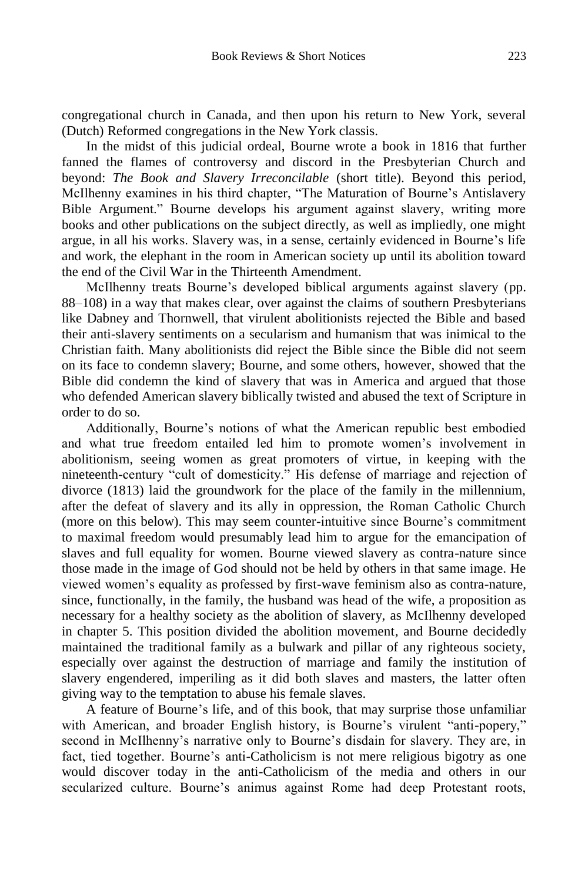congregational church in Canada, and then upon his return to New York, several (Dutch) Reformed congregations in the New York classis.

In the midst of this judicial ordeal, Bourne wrote a book in 1816 that further fanned the flames of controversy and discord in the Presbyterian Church and beyond: *The Book and Slavery Irreconcilable* (short title). Beyond this period, McIlhenny examines in his third chapter, "The Maturation of Bourne's Antislavery Bible Argument." Bourne develops his argument against slavery, writing more books and other publications on the subject directly, as well as impliedly, one might argue, in all his works. Slavery was, in a sense, certainly evidenced in Bourne's life and work, the elephant in the room in American society up until its abolition toward the end of the Civil War in the Thirteenth Amendment.

McIlhenny treats Bourne's developed biblical arguments against slavery (pp. 88–108) in a way that makes clear, over against the claims of southern Presbyterians like Dabney and Thornwell, that virulent abolitionists rejected the Bible and based their anti-slavery sentiments on a secularism and humanism that was inimical to the Christian faith. Many abolitionists did reject the Bible since the Bible did not seem on its face to condemn slavery; Bourne, and some others, however, showed that the Bible did condemn the kind of slavery that was in America and argued that those who defended American slavery biblically twisted and abused the text of Scripture in order to do so.

Additionally, Bourne's notions of what the American republic best embodied and what true freedom entailed led him to promote women's involvement in abolitionism, seeing women as great promoters of virtue, in keeping with the nineteenth-century "cult of domesticity." His defense of marriage and rejection of divorce (1813) laid the groundwork for the place of the family in the millennium, after the defeat of slavery and its ally in oppression, the Roman Catholic Church (more on this below). This may seem counter-intuitive since Bourne's commitment to maximal freedom would presumably lead him to argue for the emancipation of slaves and full equality for women. Bourne viewed slavery as contra-nature since those made in the image of God should not be held by others in that same image. He viewed women's equality as professed by first-wave feminism also as contra-nature, since, functionally, in the family, the husband was head of the wife, a proposition as necessary for a healthy society as the abolition of slavery, as McIlhenny developed in chapter 5. This position divided the abolition movement, and Bourne decidedly maintained the traditional family as a bulwark and pillar of any righteous society, especially over against the destruction of marriage and family the institution of slavery engendered, imperiling as it did both slaves and masters, the latter often giving way to the temptation to abuse his female slaves.

A feature of Bourne's life, and of this book, that may surprise those unfamiliar with American, and broader English history, is Bourne's virulent "anti-popery," second in McIlhenny's narrative only to Bourne's disdain for slavery. They are, in fact, tied together. Bourne's anti-Catholicism is not mere religious bigotry as one would discover today in the anti-Catholicism of the media and others in our secularized culture. Bourne's animus against Rome had deep Protestant roots,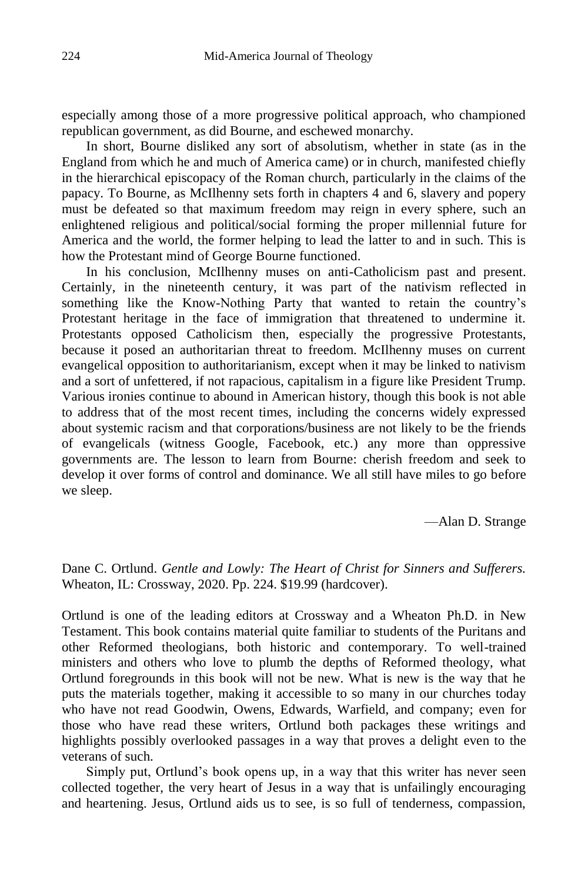especially among those of a more progressive political approach, who championed republican government, as did Bourne, and eschewed monarchy.

In short, Bourne disliked any sort of absolutism, whether in state (as in the England from which he and much of America came) or in church, manifested chiefly in the hierarchical episcopacy of the Roman church, particularly in the claims of the papacy. To Bourne, as McIlhenny sets forth in chapters 4 and 6, slavery and popery must be defeated so that maximum freedom may reign in every sphere, such an enlightened religious and political/social forming the proper millennial future for America and the world, the former helping to lead the latter to and in such. This is how the Protestant mind of George Bourne functioned.

In his conclusion, McIlhenny muses on anti-Catholicism past and present. Certainly, in the nineteenth century, it was part of the nativism reflected in something like the Know-Nothing Party that wanted to retain the country's Protestant heritage in the face of immigration that threatened to undermine it. Protestants opposed Catholicism then, especially the progressive Protestants, because it posed an authoritarian threat to freedom. McIlhenny muses on current evangelical opposition to authoritarianism, except when it may be linked to nativism and a sort of unfettered, if not rapacious, capitalism in a figure like President Trump. Various ironies continue to abound in American history, though this book is not able to address that of the most recent times, including the concerns widely expressed about systemic racism and that corporations/business are not likely to be the friends of evangelicals (witness Google, Facebook, etc.) any more than oppressive governments are. The lesson to learn from Bourne: cherish freedom and seek to develop it over forms of control and dominance. We all still have miles to go before we sleep.

—Alan D. Strange

Dane C. Ortlund. *Gentle and Lowly: The Heart of Christ for Sinners and Sufferers.* Wheaton, IL: Crossway, 2020. Pp. 224. \$19.99 (hardcover).

Ortlund is one of the leading editors at Crossway and a Wheaton Ph.D. in New Testament. This book contains material quite familiar to students of the Puritans and other Reformed theologians, both historic and contemporary. To well-trained ministers and others who love to plumb the depths of Reformed theology, what Ortlund foregrounds in this book will not be new. What is new is the way that he puts the materials together, making it accessible to so many in our churches today who have not read Goodwin, Owens, Edwards, Warfield, and company; even for those who have read these writers, Ortlund both packages these writings and highlights possibly overlooked passages in a way that proves a delight even to the veterans of such.

Simply put, Ortlund's book opens up, in a way that this writer has never seen collected together, the very heart of Jesus in a way that is unfailingly encouraging and heartening. Jesus, Ortlund aids us to see, is so full of tenderness, compassion,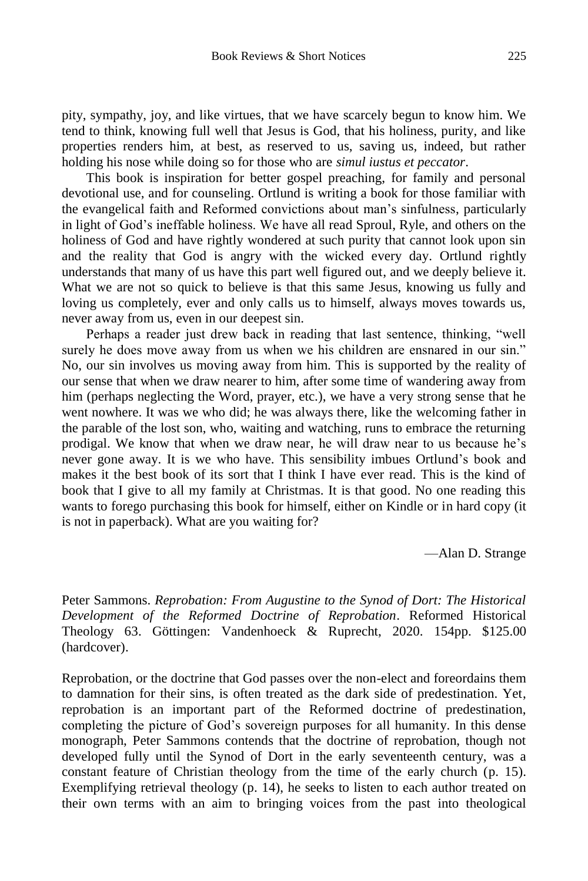pity, sympathy, joy, and like virtues, that we have scarcely begun to know him. We tend to think, knowing full well that Jesus is God, that his holiness, purity, and like properties renders him, at best, as reserved to us, saving us, indeed, but rather holding his nose while doing so for those who are *simul iustus et peccator*.

This book is inspiration for better gospel preaching, for family and personal devotional use, and for counseling. Ortlund is writing a book for those familiar with the evangelical faith and Reformed convictions about man's sinfulness, particularly in light of God's ineffable holiness. We have all read Sproul, Ryle, and others on the holiness of God and have rightly wondered at such purity that cannot look upon sin and the reality that God is angry with the wicked every day. Ortlund rightly understands that many of us have this part well figured out, and we deeply believe it. What we are not so quick to believe is that this same Jesus, knowing us fully and loving us completely, ever and only calls us to himself, always moves towards us, never away from us, even in our deepest sin.

Perhaps a reader just drew back in reading that last sentence, thinking, "well surely he does move away from us when we his children are ensnared in our sin." No, our sin involves us moving away from him. This is supported by the reality of our sense that when we draw nearer to him, after some time of wandering away from him (perhaps neglecting the Word, prayer, etc.), we have a very strong sense that he went nowhere. It was we who did; he was always there, like the welcoming father in the parable of the lost son, who, waiting and watching, runs to embrace the returning prodigal. We know that when we draw near, he will draw near to us because he's never gone away. It is we who have. This sensibility imbues Ortlund's book and makes it the best book of its sort that I think I have ever read. This is the kind of book that I give to all my family at Christmas. It is that good. No one reading this wants to forego purchasing this book for himself, either on Kindle or in hard copy (it is not in paperback). What are you waiting for?

—Alan D. Strange

Peter Sammons. *Reprobation: From Augustine to the Synod of Dort: The Historical Development of the Reformed Doctrine of Reprobation*. Reformed Historical Theology 63. Göttingen: Vandenhoeck & Ruprecht, 2020. 154pp. \$125.00 (hardcover).

Reprobation, or the doctrine that God passes over the non-elect and foreordains them to damnation for their sins, is often treated as the dark side of predestination. Yet, reprobation is an important part of the Reformed doctrine of predestination, completing the picture of God's sovereign purposes for all humanity. In this dense monograph, Peter Sammons contends that the doctrine of reprobation, though not developed fully until the Synod of Dort in the early seventeenth century, was a constant feature of Christian theology from the time of the early church (p. 15). Exemplifying retrieval theology (p. 14), he seeks to listen to each author treated on their own terms with an aim to bringing voices from the past into theological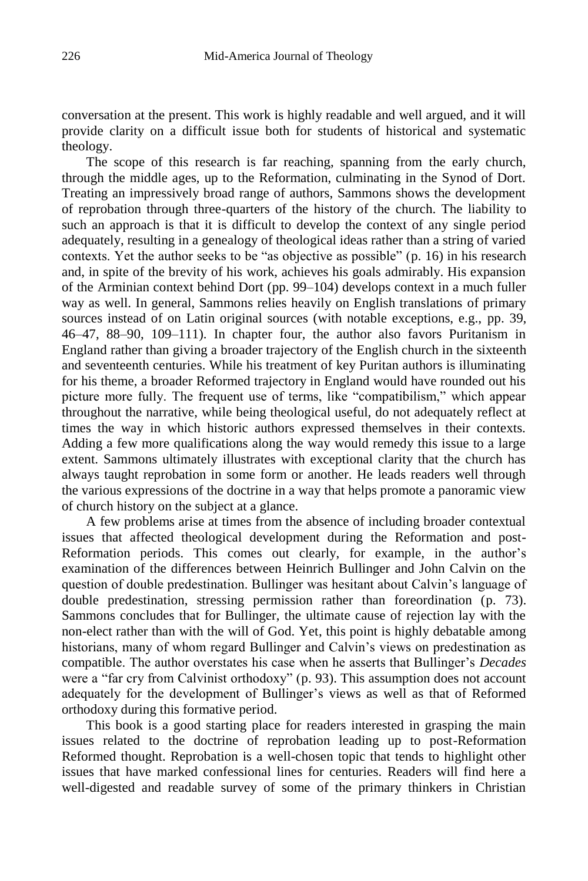conversation at the present. This work is highly readable and well argued, and it will provide clarity on a difficult issue both for students of historical and systematic theology.

The scope of this research is far reaching, spanning from the early church, through the middle ages, up to the Reformation, culminating in the Synod of Dort. Treating an impressively broad range of authors, Sammons shows the development of reprobation through three-quarters of the history of the church. The liability to such an approach is that it is difficult to develop the context of any single period adequately, resulting in a genealogy of theological ideas rather than a string of varied contexts. Yet the author seeks to be "as objective as possible" (p. 16) in his research and, in spite of the brevity of his work, achieves his goals admirably. His expansion of the Arminian context behind Dort (pp. 99–104) develops context in a much fuller way as well. In general, Sammons relies heavily on English translations of primary sources instead of on Latin original sources (with notable exceptions, e.g., pp. 39, 46–47, 88–90, 109–111). In chapter four, the author also favors Puritanism in England rather than giving a broader trajectory of the English church in the sixteenth and seventeenth centuries. While his treatment of key Puritan authors is illuminating for his theme, a broader Reformed trajectory in England would have rounded out his picture more fully. The frequent use of terms, like "compatibilism," which appear throughout the narrative, while being theological useful, do not adequately reflect at times the way in which historic authors expressed themselves in their contexts. Adding a few more qualifications along the way would remedy this issue to a large extent. Sammons ultimately illustrates with exceptional clarity that the church has always taught reprobation in some form or another. He leads readers well through the various expressions of the doctrine in a way that helps promote a panoramic view of church history on the subject at a glance.

A few problems arise at times from the absence of including broader contextual issues that affected theological development during the Reformation and post-Reformation periods. This comes out clearly, for example, in the author's examination of the differences between Heinrich Bullinger and John Calvin on the question of double predestination. Bullinger was hesitant about Calvin's language of double predestination, stressing permission rather than foreordination (p. 73). Sammons concludes that for Bullinger, the ultimate cause of rejection lay with the non-elect rather than with the will of God. Yet, this point is highly debatable among historians, many of whom regard Bullinger and Calvin's views on predestination as compatible. The author overstates his case when he asserts that Bullinger's *Decades* were a "far cry from Calvinist orthodoxy" (p. 93). This assumption does not account adequately for the development of Bullinger's views as well as that of Reformed orthodoxy during this formative period.

This book is a good starting place for readers interested in grasping the main issues related to the doctrine of reprobation leading up to post-Reformation Reformed thought. Reprobation is a well-chosen topic that tends to highlight other issues that have marked confessional lines for centuries. Readers will find here a well-digested and readable survey of some of the primary thinkers in Christian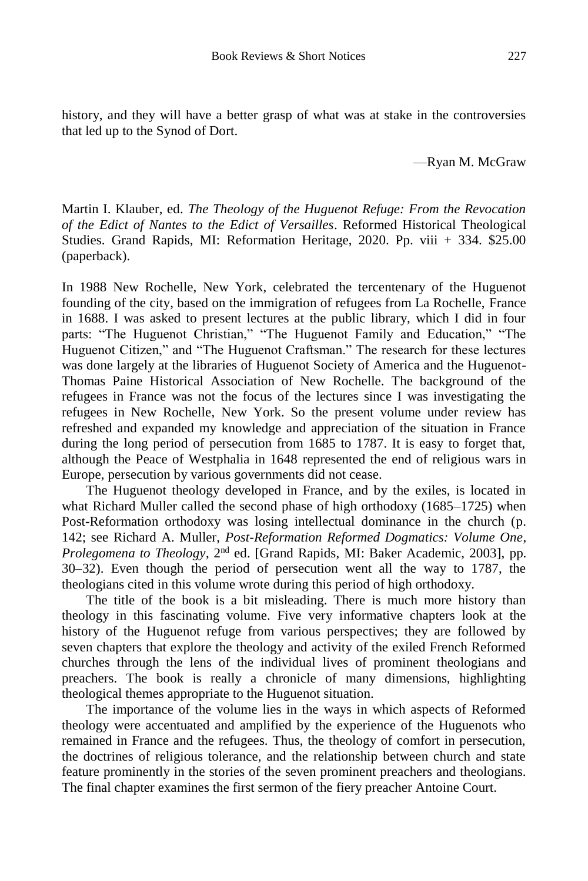history, and they will have a better grasp of what was at stake in the controversies that led up to the Synod of Dort.

—Ryan M. McGraw

Martin I. Klauber, ed. *The Theology of the Huguenot Refuge: From the Revocation of the Edict of Nantes to the Edict of Versailles*. Reformed Historical Theological Studies. Grand Rapids, MI: Reformation Heritage, 2020. Pp. viii + 334. \$25.00 (paperback).

In 1988 New Rochelle, New York, celebrated the tercentenary of the Huguenot founding of the city, based on the immigration of refugees from La Rochelle, France in 1688. I was asked to present lectures at the public library, which I did in four parts: "The Huguenot Christian," "The Huguenot Family and Education," "The Huguenot Citizen," and "The Huguenot Craftsman." The research for these lectures was done largely at the libraries of Huguenot Society of America and the Huguenot-Thomas Paine Historical Association of New Rochelle. The background of the refugees in France was not the focus of the lectures since I was investigating the refugees in New Rochelle, New York. So the present volume under review has refreshed and expanded my knowledge and appreciation of the situation in France during the long period of persecution from 1685 to 1787. It is easy to forget that, although the Peace of Westphalia in 1648 represented the end of religious wars in Europe, persecution by various governments did not cease.

The Huguenot theology developed in France, and by the exiles, is located in what Richard Muller called the second phase of high orthodoxy (1685–1725) when Post-Reformation orthodoxy was losing intellectual dominance in the church (p. 142; see Richard A. Muller, *Post-Reformation Reformed Dogmatics: Volume One*, *Prolegomena to Theology*, 2<sup>nd</sup> ed. [Grand Rapids, MI: Baker Academic, 2003], pp. 30–32). Even though the period of persecution went all the way to 1787, the theologians cited in this volume wrote during this period of high orthodoxy.

The title of the book is a bit misleading. There is much more history than theology in this fascinating volume. Five very informative chapters look at the history of the Huguenot refuge from various perspectives; they are followed by seven chapters that explore the theology and activity of the exiled French Reformed churches through the lens of the individual lives of prominent theologians and preachers. The book is really a chronicle of many dimensions, highlighting theological themes appropriate to the Huguenot situation.

The importance of the volume lies in the ways in which aspects of Reformed theology were accentuated and amplified by the experience of the Huguenots who remained in France and the refugees. Thus, the theology of comfort in persecution, the doctrines of religious tolerance, and the relationship between church and state feature prominently in the stories of the seven prominent preachers and theologians. The final chapter examines the first sermon of the fiery preacher Antoine Court.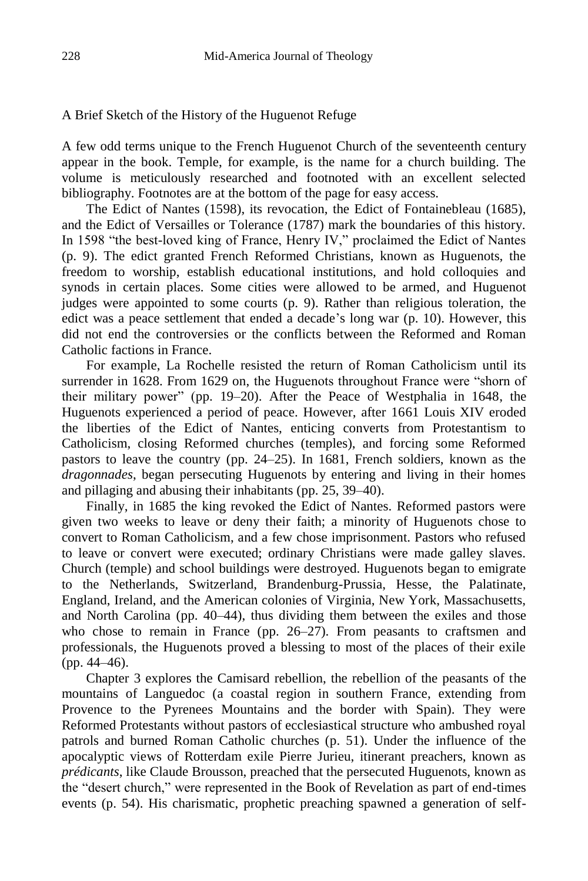## A Brief Sketch of the History of the Huguenot Refuge

A few odd terms unique to the French Huguenot Church of the seventeenth century appear in the book. Temple, for example, is the name for a church building. The volume is meticulously researched and footnoted with an excellent selected bibliography. Footnotes are at the bottom of the page for easy access.

The Edict of Nantes (1598), its revocation, the Edict of Fontainebleau (1685), and the Edict of Versailles or Tolerance (1787) mark the boundaries of this history. In 1598 "the best-loved king of France, Henry IV," proclaimed the Edict of Nantes (p. 9). The edict granted French Reformed Christians, known as Huguenots, the freedom to worship, establish educational institutions, and hold colloquies and synods in certain places. Some cities were allowed to be armed, and Huguenot judges were appointed to some courts (p. 9). Rather than religious toleration, the edict was a peace settlement that ended a decade's long war (p. 10). However, this did not end the controversies or the conflicts between the Reformed and Roman Catholic factions in France.

For example, La Rochelle resisted the return of Roman Catholicism until its surrender in 1628. From 1629 on, the Huguenots throughout France were "shorn of their military power" (pp. 19–20). After the Peace of Westphalia in 1648, the Huguenots experienced a period of peace. However, after 1661 Louis XIV eroded the liberties of the Edict of Nantes, enticing converts from Protestantism to Catholicism, closing Reformed churches (temples), and forcing some Reformed pastors to leave the country (pp. 24–25). In 1681, French soldiers, known as the *dragonnades*, began persecuting Huguenots by entering and living in their homes and pillaging and abusing their inhabitants (pp. 25, 39–40).

Finally, in 1685 the king revoked the Edict of Nantes. Reformed pastors were given two weeks to leave or deny their faith; a minority of Huguenots chose to convert to Roman Catholicism, and a few chose imprisonment. Pastors who refused to leave or convert were executed; ordinary Christians were made galley slaves. Church (temple) and school buildings were destroyed. Huguenots began to emigrate to the Netherlands, Switzerland, Brandenburg-Prussia, Hesse, the Palatinate, England, Ireland, and the American colonies of Virginia, New York, Massachusetts, and North Carolina (pp. 40–44), thus dividing them between the exiles and those who chose to remain in France (pp. 26–27). From peasants to craftsmen and professionals, the Huguenots proved a blessing to most of the places of their exile (pp. 44–46).

Chapter 3 explores the Camisard rebellion, the rebellion of the peasants of the mountains of Languedoc (a coastal region in southern France, extending from Provence to the Pyrenees Mountains and the border with Spain). They were Reformed Protestants without pastors of ecclesiastical structure who ambushed royal patrols and burned Roman Catholic churches (p. 51). Under the influence of the apocalyptic views of Rotterdam exile Pierre Jurieu, itinerant preachers, known as *prédicants*, like Claude Brousson, preached that the persecuted Huguenots, known as the "desert church," were represented in the Book of Revelation as part of end-times events (p. 54). His charismatic, prophetic preaching spawned a generation of self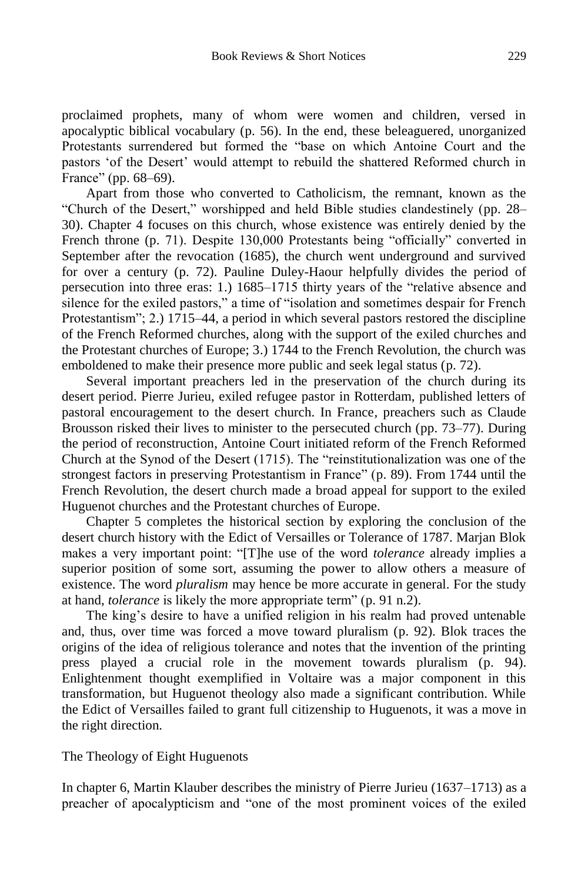proclaimed prophets, many of whom were women and children, versed in apocalyptic biblical vocabulary (p. 56). In the end, these beleaguered, unorganized Protestants surrendered but formed the "base on which Antoine Court and the pastors 'of the Desert' would attempt to rebuild the shattered Reformed church in France" (pp. 68–69).

Apart from those who converted to Catholicism, the remnant, known as the "Church of the Desert," worshipped and held Bible studies clandestinely (pp. 28– 30). Chapter 4 focuses on this church, whose existence was entirely denied by the French throne (p. 71). Despite 130,000 Protestants being "officially" converted in September after the revocation (1685), the church went underground and survived for over a century (p. 72). Pauline Duley-Haour helpfully divides the period of persecution into three eras: 1.) 1685–1715 thirty years of the "relative absence and silence for the exiled pastors," a time of "isolation and sometimes despair for French Protestantism"; 2.) 1715–44, a period in which several pastors restored the discipline of the French Reformed churches, along with the support of the exiled churches and the Protestant churches of Europe; 3.) 1744 to the French Revolution, the church was emboldened to make their presence more public and seek legal status (p. 72).

Several important preachers led in the preservation of the church during its desert period. Pierre Jurieu, exiled refugee pastor in Rotterdam, published letters of pastoral encouragement to the desert church. In France, preachers such as Claude Brousson risked their lives to minister to the persecuted church (pp. 73–77). During the period of reconstruction, Antoine Court initiated reform of the French Reformed Church at the Synod of the Desert (1715). The "reinstitutionalization was one of the strongest factors in preserving Protestantism in France" (p. 89). From 1744 until the French Revolution, the desert church made a broad appeal for support to the exiled Huguenot churches and the Protestant churches of Europe.

Chapter 5 completes the historical section by exploring the conclusion of the desert church history with the Edict of Versailles or Tolerance of 1787. Marjan Blok makes a very important point: "[T]he use of the word *tolerance* already implies a superior position of some sort, assuming the power to allow others a measure of existence. The word *pluralism* may hence be more accurate in general. For the study at hand, *tolerance* is likely the more appropriate term" (p. 91 n.2).

The king's desire to have a unified religion in his realm had proved untenable and, thus, over time was forced a move toward pluralism (p. 92). Blok traces the origins of the idea of religious tolerance and notes that the invention of the printing press played a crucial role in the movement towards pluralism (p. 94). Enlightenment thought exemplified in Voltaire was a major component in this transformation, but Huguenot theology also made a significant contribution. While the Edict of Versailles failed to grant full citizenship to Huguenots, it was a move in the right direction.

The Theology of Eight Huguenots

In chapter 6, Martin Klauber describes the ministry of Pierre Jurieu (1637–1713) as a preacher of apocalypticism and "one of the most prominent voices of the exiled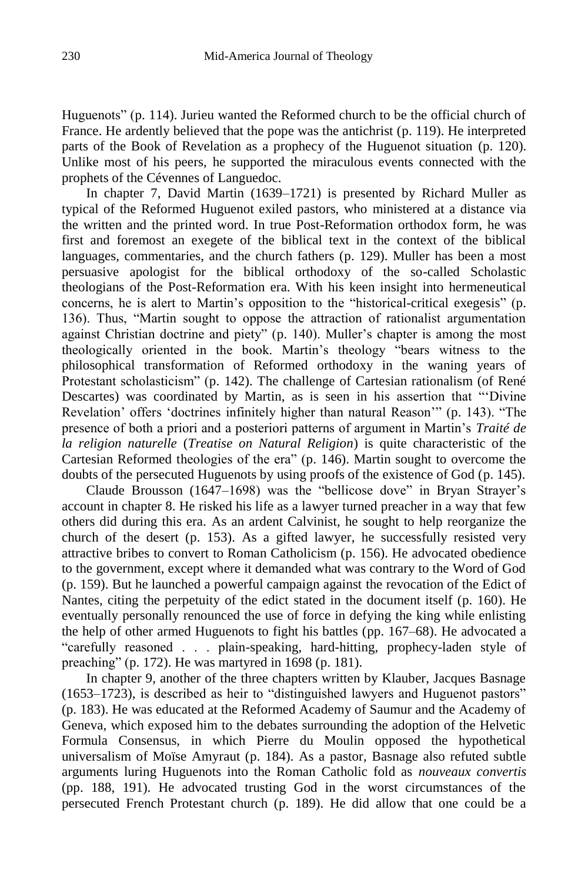Huguenots" (p. 114). Jurieu wanted the Reformed church to be the official church of France. He ardently believed that the pope was the antichrist (p. 119). He interpreted parts of the Book of Revelation as a prophecy of the Huguenot situation (p. 120). Unlike most of his peers, he supported the miraculous events connected with the prophets of the Cévennes of Languedoc.

In chapter 7, David Martin (1639–1721) is presented by Richard Muller as typical of the Reformed Huguenot exiled pastors, who ministered at a distance via the written and the printed word. In true Post-Reformation orthodox form, he was first and foremost an exegete of the biblical text in the context of the biblical languages, commentaries, and the church fathers (p. 129). Muller has been a most persuasive apologist for the biblical orthodoxy of the so-called Scholastic theologians of the Post-Reformation era. With his keen insight into hermeneutical concerns, he is alert to Martin's opposition to the "historical-critical exegesis" (p. 136). Thus, "Martin sought to oppose the attraction of rationalist argumentation against Christian doctrine and piety" (p. 140). Muller's chapter is among the most theologically oriented in the book. Martin's theology "bears witness to the philosophical transformation of Reformed orthodoxy in the waning years of Protestant scholasticism" (p. 142). The challenge of Cartesian rationalism (of René Descartes) was coordinated by Martin, as is seen in his assertion that "'Divine Revelation' offers 'doctrines infinitely higher than natural Reason'" (p. 143). "The presence of both a priori and a posteriori patterns of argument in Martin's *Traité de la religion naturelle* (*Treatise on Natural Religion*) is quite characteristic of the Cartesian Reformed theologies of the era" (p. 146). Martin sought to overcome the doubts of the persecuted Huguenots by using proofs of the existence of God (p. 145).

Claude Brousson (1647–1698) was the "bellicose dove" in Bryan Strayer's account in chapter 8. He risked his life as a lawyer turned preacher in a way that few others did during this era. As an ardent Calvinist, he sought to help reorganize the church of the desert (p. 153). As a gifted lawyer, he successfully resisted very attractive bribes to convert to Roman Catholicism (p. 156). He advocated obedience to the government, except where it demanded what was contrary to the Word of God (p. 159). But he launched a powerful campaign against the revocation of the Edict of Nantes, citing the perpetuity of the edict stated in the document itself (p. 160). He eventually personally renounced the use of force in defying the king while enlisting the help of other armed Huguenots to fight his battles (pp. 167–68). He advocated a "carefully reasoned . . . plain-speaking, hard-hitting, prophecy-laden style of preaching" (p. 172). He was martyred in 1698 (p. 181).

In chapter 9, another of the three chapters written by Klauber, Jacques Basnage (1653–1723), is described as heir to "distinguished lawyers and Huguenot pastors" (p. 183). He was educated at the Reformed Academy of Saumur and the Academy of Geneva, which exposed him to the debates surrounding the adoption of the Helvetic Formula Consensus, in which Pierre du Moulin opposed the hypothetical universalism of Moïse Amyraut (p. 184). As a pastor, Basnage also refuted subtle arguments luring Huguenots into the Roman Catholic fold as *nouveaux convertis* (pp. 188, 191). He advocated trusting God in the worst circumstances of the persecuted French Protestant church (p. 189). He did allow that one could be a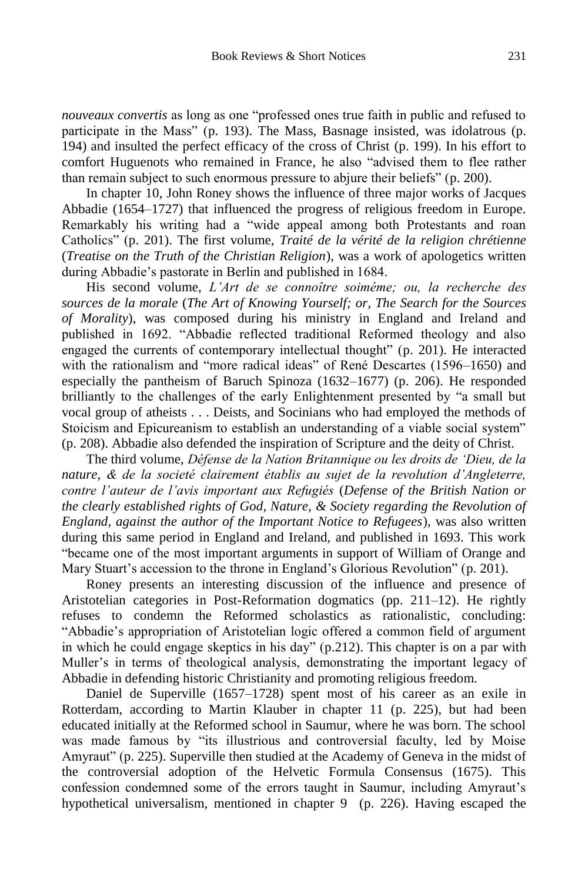*nouveaux convertis* as long as one "professed ones true faith in public and refused to participate in the Mass" (p. 193). The Mass, Basnage insisted, was idolatrous (p. 194) and insulted the perfect efficacy of the cross of Christ (p. 199). In his effort to comfort Huguenots who remained in France, he also "advised them to flee rather than remain subject to such enormous pressure to abjure their beliefs" (p. 200).

In chapter 10, John Roney shows the influence of three major works of Jacques Abbadie (1654–1727) that influenced the progress of religious freedom in Europe. Remarkably his writing had a "wide appeal among both Protestants and roan Catholics" (p. 201). The first volume, *Traité de la vérité de la religion chrétienne*  (*Treatise on the Truth of the Christian Religion*), was a work of apologetics written during Abbadie's pastorate in Berlin and published in 1684.

His second volume, *L'Art de se connoître soiméme; ou, la recherche des sources de la morale* (*The Art of Knowing Yourself; or, The Search for the Sources of Morality*), was composed during his ministry in England and Ireland and published in 1692. "Abbadie reflected traditional Reformed theology and also engaged the currents of contemporary intellectual thought" (p. 201). He interacted with the rationalism and "more radical ideas" of René Descartes (1596–1650) and especially the pantheism of Baruch Spinoza (1632–1677) (p. 206). He responded brilliantly to the challenges of the early Enlightenment presented by "a small but vocal group of atheists . . . Deists, and Socinians who had employed the methods of Stoicism and Epicureanism to establish an understanding of a viable social system" (p. 208). Abbadie also defended the inspiration of Scripture and the deity of Christ.

The third volume, *Défense de la Nation Britannique ou les droits de 'Dieu, de la nature*, *& de la societé clairement établis au sujet de la revolution d'Angleterre, contre l'auteur de l'avis important aux Refugiés* (*Defense of the British Nation or the clearly established rights of God, Nature, & Society regarding the Revolution of England, against the author of the Important Notice to Refugees*), was also written during this same period in England and Ireland, and published in 1693. This work "became one of the most important arguments in support of William of Orange and Mary Stuart's accession to the throne in England's Glorious Revolution" (p. 201).

Roney presents an interesting discussion of the influence and presence of Aristotelian categories in Post-Reformation dogmatics (pp. 211–12). He rightly refuses to condemn the Reformed scholastics as rationalistic, concluding: "Abbadie's appropriation of Aristotelian logic offered a common field of argument in which he could engage skeptics in his day" (p.212). This chapter is on a par with Muller's in terms of theological analysis, demonstrating the important legacy of Abbadie in defending historic Christianity and promoting religious freedom.

Daniel de Superville (1657–1728) spent most of his career as an exile in Rotterdam, according to Martin Klauber in chapter 11 (p. 225), but had been educated initially at the Reformed school in Saumur, where he was born. The school was made famous by "its illustrious and controversial faculty, led by Moise Amyraut" (p. 225). Superville then studied at the Academy of Geneva in the midst of the controversial adoption of the Helvetic Formula Consensus (1675). This confession condemned some of the errors taught in Saumur, including Amyraut's hypothetical universalism, mentioned in chapter 9 (p. 226). Having escaped the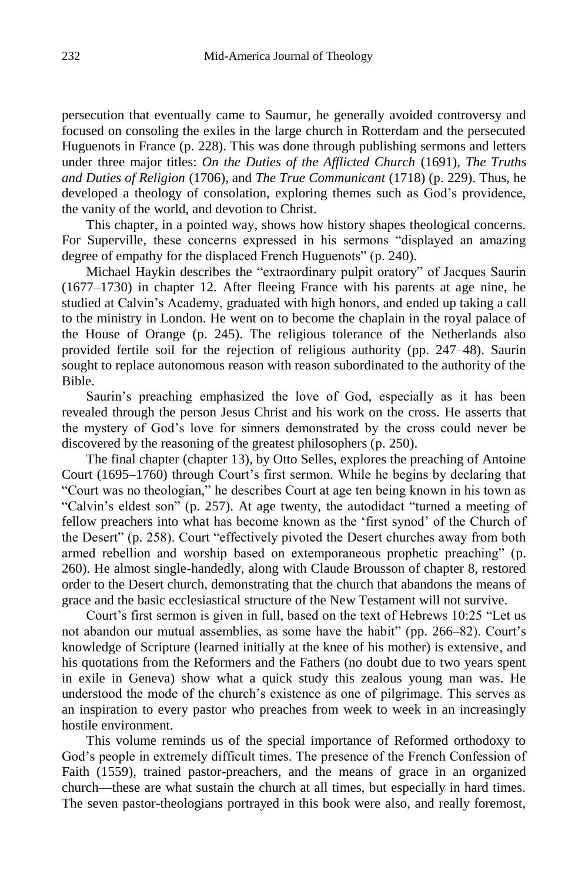persecution that eventually came to Saumur, he generally avoided controversy and focused on consoling the exiles in the large church in Rotterdam and the persecuted Huguenots in France (p. 228). This was done through publishing sermons and letters under three major titles: *On the Duties of the Afflicted Church* (1691), *The Truths and Duties of Religion* (1706), and *The True Communicant* (1718) (p. 229). Thus, he developed a theology of consolation, exploring themes such as God's providence, the vanity of the world, and devotion to Christ.

This chapter, in a pointed way, shows how history shapes theological concerns. For Superville, these concerns expressed in his sermons "displayed an amazing degree of empathy for the displaced French Huguenots" (p. 240).

Michael Haykin describes the "extraordinary pulpit oratory" of Jacques Saurin (1677–1730) in chapter 12. After fleeing France with his parents at age nine, he studied at Calvin's Academy, graduated with high honors, and ended up taking a call to the ministry in London. He went on to become the chaplain in the royal palace of the House of Orange (p. 245). The religious tolerance of the Netherlands also provided fertile soil for the rejection of religious authority (pp. 247–48). Saurin sought to replace autonomous reason with reason subordinated to the authority of the Bible.

Saurin's preaching emphasized the love of God, especially as it has been revealed through the person Jesus Christ and his work on the cross. He asserts that the mystery of God's love for sinners demonstrated by the cross could never be discovered by the reasoning of the greatest philosophers (p. 250).

The final chapter (chapter 13), by Otto Selles, explores the preaching of Antoine Court (1695–1760) through Court's first sermon. While he begins by declaring that "Court was no theologian," he describes Court at age ten being known in his town as "Calvin's eldest son" (p. 257). At age twenty, the autodidact "turned a meeting of fellow preachers into what has become known as the 'first synod' of the Church of the Desert" (p. 258). Court "effectively pivoted the Desert churches away from both armed rebellion and worship based on extemporaneous prophetic preaching" (p. 260). He almost single-handedly, along with Claude Brousson of chapter 8, restored order to the Desert church, demonstrating that the church that abandons the means of grace and the basic ecclesiastical structure of the New Testament will not survive.

Court's first sermon is given in full, based on the text of Hebrews 10:25 "Let us not abandon our mutual assemblies, as some have the habit" (pp. 266–82). Court's knowledge of Scripture (learned initially at the knee of his mother) is extensive, and his quotations from the Reformers and the Fathers (no doubt due to two years spent in exile in Geneva) show what a quick study this zealous young man was. He understood the mode of the church's existence as one of pilgrimage. This serves as an inspiration to every pastor who preaches from week to week in an increasingly hostile environment.

This volume reminds us of the special importance of Reformed orthodoxy to God's people in extremely difficult times. The presence of the French Confession of Faith (1559), trained pastor-preachers, and the means of grace in an organized church—these are what sustain the church at all times, but especially in hard times. The seven pastor-theologians portrayed in this book were also, and really foremost,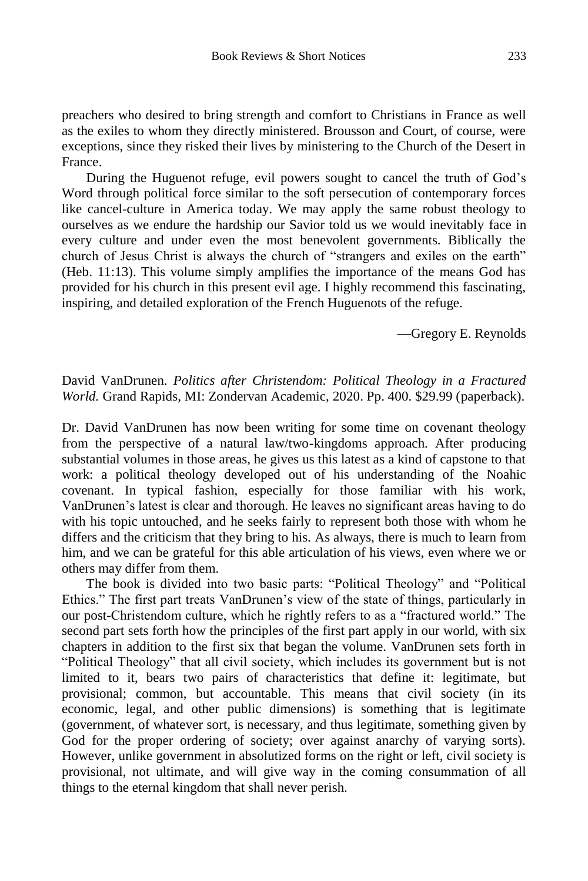preachers who desired to bring strength and comfort to Christians in France as well as the exiles to whom they directly ministered. Brousson and Court, of course, were exceptions, since they risked their lives by ministering to the Church of the Desert in France.

During the Huguenot refuge, evil powers sought to cancel the truth of God's Word through political force similar to the soft persecution of contemporary forces like cancel-culture in America today. We may apply the same robust theology to ourselves as we endure the hardship our Savior told us we would inevitably face in every culture and under even the most benevolent governments. Biblically the church of Jesus Christ is always the church of "strangers and exiles on the earth" (Heb. 11:13). This volume simply amplifies the importance of the means God has provided for his church in this present evil age. I highly recommend this fascinating, inspiring, and detailed exploration of the French Huguenots of the refuge.

—Gregory E. Reynolds

## David VanDrunen. *Politics after Christendom: Political Theology in a Fractured World.* Grand Rapids, MI: Zondervan Academic, 2020. Pp. 400. \$29.99 (paperback).

Dr. David VanDrunen has now been writing for some time on covenant theology from the perspective of a natural law/two-kingdoms approach. After producing substantial volumes in those areas, he gives us this latest as a kind of capstone to that work: a political theology developed out of his understanding of the Noahic covenant. In typical fashion, especially for those familiar with his work, VanDrunen's latest is clear and thorough. He leaves no significant areas having to do with his topic untouched, and he seeks fairly to represent both those with whom he differs and the criticism that they bring to his. As always, there is much to learn from him, and we can be grateful for this able articulation of his views, even where we or others may differ from them.

The book is divided into two basic parts: "Political Theology" and "Political Ethics." The first part treats VanDrunen's view of the state of things, particularly in our post-Christendom culture, which he rightly refers to as a "fractured world." The second part sets forth how the principles of the first part apply in our world, with six chapters in addition to the first six that began the volume. VanDrunen sets forth in "Political Theology" that all civil society, which includes its government but is not limited to it, bears two pairs of characteristics that define it: legitimate, but provisional; common, but accountable. This means that civil society (in its economic, legal, and other public dimensions) is something that is legitimate (government, of whatever sort, is necessary, and thus legitimate, something given by God for the proper ordering of society; over against anarchy of varying sorts). However, unlike government in absolutized forms on the right or left, civil society is provisional, not ultimate, and will give way in the coming consummation of all things to the eternal kingdom that shall never perish.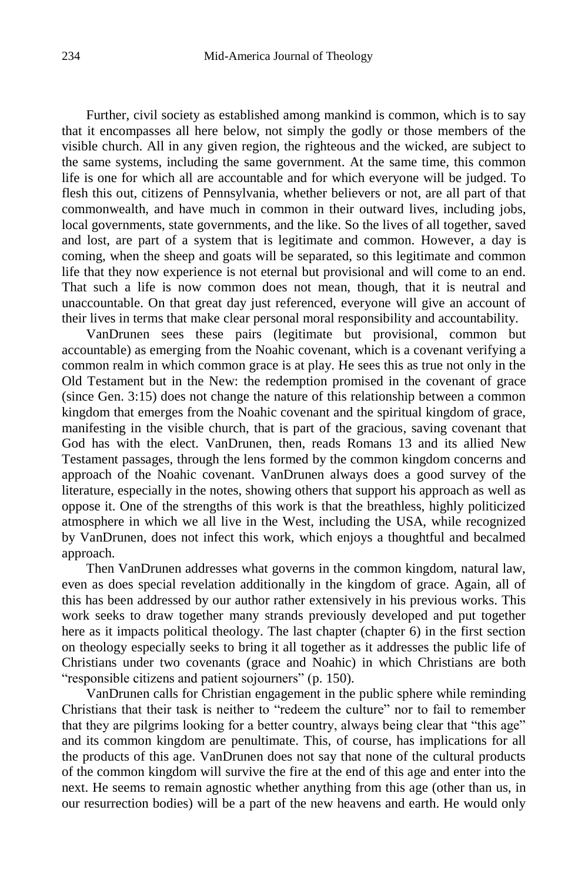Further, civil society as established among mankind is common, which is to say that it encompasses all here below, not simply the godly or those members of the visible church. All in any given region, the righteous and the wicked, are subject to the same systems, including the same government. At the same time, this common life is one for which all are accountable and for which everyone will be judged. To flesh this out, citizens of Pennsylvania, whether believers or not, are all part of that commonwealth, and have much in common in their outward lives, including jobs, local governments, state governments, and the like. So the lives of all together, saved and lost, are part of a system that is legitimate and common. However, a day is coming, when the sheep and goats will be separated, so this legitimate and common life that they now experience is not eternal but provisional and will come to an end. That such a life is now common does not mean, though, that it is neutral and unaccountable. On that great day just referenced, everyone will give an account of their lives in terms that make clear personal moral responsibility and accountability.

VanDrunen sees these pairs (legitimate but provisional, common but accountable) as emerging from the Noahic covenant, which is a covenant verifying a common realm in which common grace is at play. He sees this as true not only in the Old Testament but in the New: the redemption promised in the covenant of grace (since Gen. 3:15) does not change the nature of this relationship between a common kingdom that emerges from the Noahic covenant and the spiritual kingdom of grace, manifesting in the visible church, that is part of the gracious, saving covenant that God has with the elect. VanDrunen, then, reads Romans 13 and its allied New Testament passages, through the lens formed by the common kingdom concerns and approach of the Noahic covenant. VanDrunen always does a good survey of the literature, especially in the notes, showing others that support his approach as well as oppose it. One of the strengths of this work is that the breathless, highly politicized atmosphere in which we all live in the West, including the USA, while recognized by VanDrunen, does not infect this work, which enjoys a thoughtful and becalmed approach.

Then VanDrunen addresses what governs in the common kingdom, natural law, even as does special revelation additionally in the kingdom of grace. Again, all of this has been addressed by our author rather extensively in his previous works. This work seeks to draw together many strands previously developed and put together here as it impacts political theology. The last chapter (chapter 6) in the first section on theology especially seeks to bring it all together as it addresses the public life of Christians under two covenants (grace and Noahic) in which Christians are both "responsible citizens and patient sojourners" (p. 150).

VanDrunen calls for Christian engagement in the public sphere while reminding Christians that their task is neither to "redeem the culture" nor to fail to remember that they are pilgrims looking for a better country, always being clear that "this age" and its common kingdom are penultimate. This, of course, has implications for all the products of this age. VanDrunen does not say that none of the cultural products of the common kingdom will survive the fire at the end of this age and enter into the next. He seems to remain agnostic whether anything from this age (other than us, in our resurrection bodies) will be a part of the new heavens and earth. He would only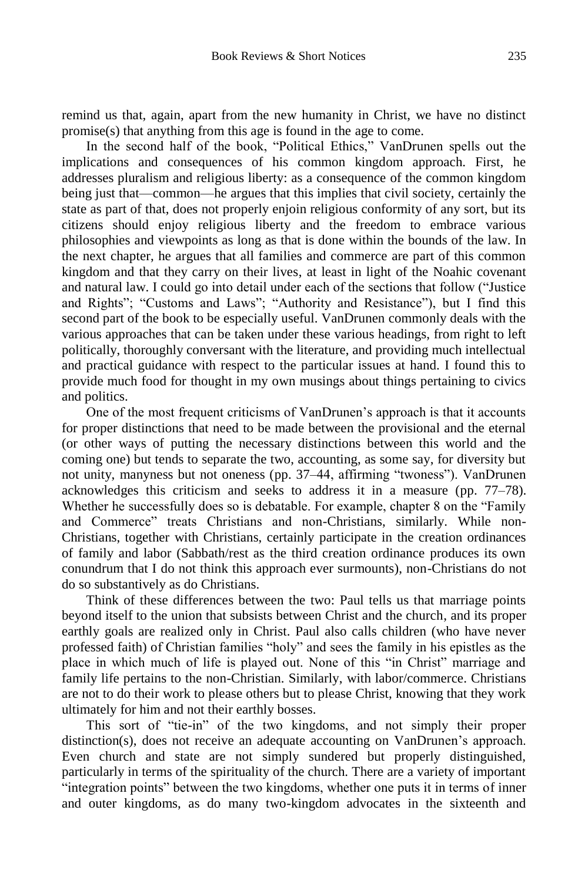remind us that, again, apart from the new humanity in Christ, we have no distinct promise(s) that anything from this age is found in the age to come.

In the second half of the book, "Political Ethics," VanDrunen spells out the implications and consequences of his common kingdom approach. First, he addresses pluralism and religious liberty: as a consequence of the common kingdom being just that—common—he argues that this implies that civil society, certainly the state as part of that, does not properly enjoin religious conformity of any sort, but its citizens should enjoy religious liberty and the freedom to embrace various philosophies and viewpoints as long as that is done within the bounds of the law. In the next chapter, he argues that all families and commerce are part of this common kingdom and that they carry on their lives, at least in light of the Noahic covenant and natural law. I could go into detail under each of the sections that follow ("Justice and Rights"; "Customs and Laws"; "Authority and Resistance"), but I find this second part of the book to be especially useful. VanDrunen commonly deals with the various approaches that can be taken under these various headings, from right to left politically, thoroughly conversant with the literature, and providing much intellectual and practical guidance with respect to the particular issues at hand. I found this to provide much food for thought in my own musings about things pertaining to civics and politics.

One of the most frequent criticisms of VanDrunen's approach is that it accounts for proper distinctions that need to be made between the provisional and the eternal (or other ways of putting the necessary distinctions between this world and the coming one) but tends to separate the two, accounting, as some say, for diversity but not unity, manyness but not oneness (pp. 37–44, affirming "twoness"). VanDrunen acknowledges this criticism and seeks to address it in a measure (pp. 77–78). Whether he successfully does so is debatable. For example, chapter 8 on the "Family and Commerce" treats Christians and non-Christians, similarly. While non-Christians, together with Christians, certainly participate in the creation ordinances of family and labor (Sabbath/rest as the third creation ordinance produces its own conundrum that I do not think this approach ever surmounts), non-Christians do not do so substantively as do Christians.

Think of these differences between the two: Paul tells us that marriage points beyond itself to the union that subsists between Christ and the church, and its proper earthly goals are realized only in Christ. Paul also calls children (who have never professed faith) of Christian families "holy" and sees the family in his epistles as the place in which much of life is played out. None of this "in Christ" marriage and family life pertains to the non-Christian. Similarly, with labor/commerce. Christians are not to do their work to please others but to please Christ, knowing that they work ultimately for him and not their earthly bosses.

This sort of "tie-in" of the two kingdoms, and not simply their proper distinction(s), does not receive an adequate accounting on VanDrunen's approach. Even church and state are not simply sundered but properly distinguished, particularly in terms of the spirituality of the church. There are a variety of important "integration points" between the two kingdoms, whether one puts it in terms of inner and outer kingdoms, as do many two-kingdom advocates in the sixteenth and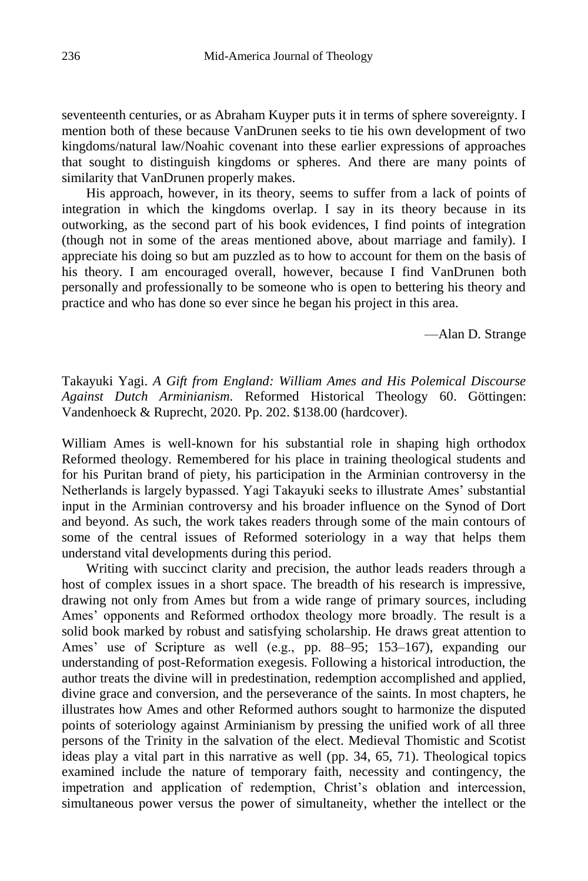seventeenth centuries, or as Abraham Kuyper puts it in terms of sphere sovereignty. I mention both of these because VanDrunen seeks to tie his own development of two kingdoms/natural law/Noahic covenant into these earlier expressions of approaches that sought to distinguish kingdoms or spheres. And there are many points of similarity that VanDrunen properly makes.

His approach, however, in its theory, seems to suffer from a lack of points of integration in which the kingdoms overlap. I say in its theory because in its outworking, as the second part of his book evidences, I find points of integration (though not in some of the areas mentioned above, about marriage and family). I appreciate his doing so but am puzzled as to how to account for them on the basis of his theory. I am encouraged overall, however, because I find VanDrunen both personally and professionally to be someone who is open to bettering his theory and practice and who has done so ever since he began his project in this area.

—Alan D. Strange

Takayuki Yagi. *A Gift from England: William Ames and His Polemical Discourse Against Dutch Arminianism.* Reformed Historical Theology 60. Göttingen: Vandenhoeck & Ruprecht, 2020. Pp. 202. \$138.00 (hardcover).

William Ames is well-known for his substantial role in shaping high orthodox Reformed theology. Remembered for his place in training theological students and for his Puritan brand of piety, his participation in the Arminian controversy in the Netherlands is largely bypassed. Yagi Takayuki seeks to illustrate Ames' substantial input in the Arminian controversy and his broader influence on the Synod of Dort and beyond. As such, the work takes readers through some of the main contours of some of the central issues of Reformed soteriology in a way that helps them understand vital developments during this period.

Writing with succinct clarity and precision, the author leads readers through a host of complex issues in a short space. The breadth of his research is impressive, drawing not only from Ames but from a wide range of primary sources, including Ames' opponents and Reformed orthodox theology more broadly. The result is a solid book marked by robust and satisfying scholarship. He draws great attention to Ames' use of Scripture as well (e.g., pp. 88–95; 153–167), expanding our understanding of post-Reformation exegesis. Following a historical introduction, the author treats the divine will in predestination, redemption accomplished and applied, divine grace and conversion, and the perseverance of the saints. In most chapters, he illustrates how Ames and other Reformed authors sought to harmonize the disputed points of soteriology against Arminianism by pressing the unified work of all three persons of the Trinity in the salvation of the elect. Medieval Thomistic and Scotist ideas play a vital part in this narrative as well (pp. 34, 65, 71). Theological topics examined include the nature of temporary faith, necessity and contingency, the impetration and application of redemption, Christ's oblation and intercession, simultaneous power versus the power of simultaneity, whether the intellect or the